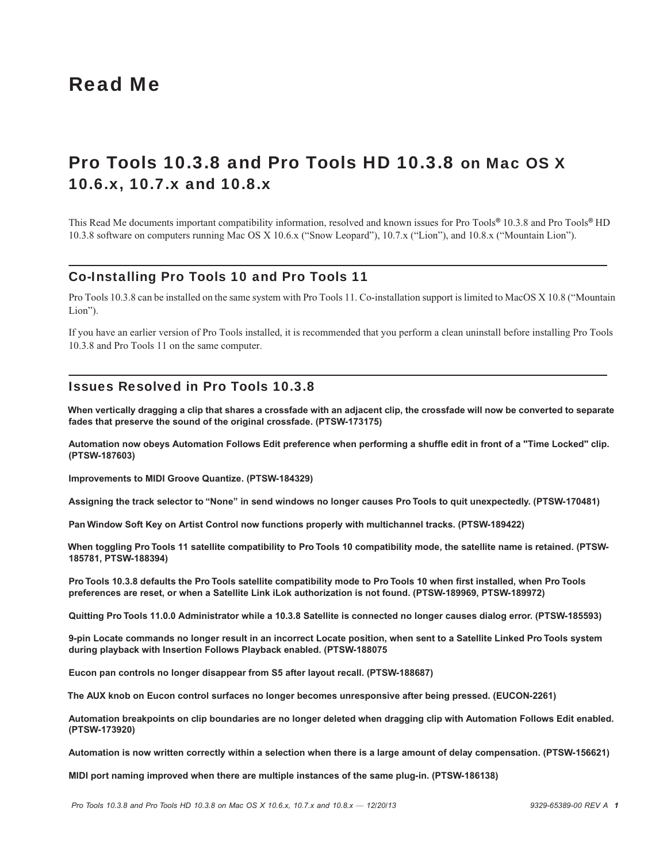# Read Me

# Pro Tools 10.3.8 and Pro Tools HD 10.3.8 on Mac OS X 10.6.x, 10.7.x and 10.8.x

This Read Me documents important compatibility information, resolved and known issues for Pro Tools*®* 10.3.8 and Pro Tools*®* HD 10.3.8 software on computers running Mac OS X 10.6.x ("Snow Leopard"), 10.7.x ("Lion"), and 10.8.x ("Mountain Lion").

# Co-Installing Pro Tools 10 and Pro Tools 11

Pro Tools 10.3.8 can be installed on the same system with Pro Tools 11. Co-installation support is limited to MacOS X 10.8 ("Mountain Lion").

If you have an earlier version of Pro Tools installed, it is recommended that you perform a clean uninstall before installing Pro Tools 10.3.8 and Pro Tools 11 on the same computer.

# Issues Resolved in Pro Tools 10.3.8

**When vertically dragging a clip that shares a crossfade with an adjacent clip, the crossfade will now be converted to separate fades that preserve the sound of the original crossfade. (PTSW-173175)**

**Automation now obeys Automation Follows Edit preference when performing a shuffle edit in front of a "Time Locked" clip. (PTSW-187603)**

**Improvements to MIDI Groove Quantize. (PTSW-184329)**

**Assigning the track selector to "None" in send windows no longer causes Pro Tools to quit unexpectedly. (PTSW-170481)**

**Pan Window Soft Key on Artist Control now functions properly with multichannel tracks. (PTSW-189422)**

**When toggling Pro Tools 11 satellite compatibility to Pro Tools 10 compatibility mode, the satellite name is retained. (PTSW-185781, PTSW-188394)**

**Pro Tools 10.3.8 defaults the Pro Tools satellite compatibility mode to Pro Tools 10 when first installed, when Pro Tools preferences are reset, or when a Satellite Link iLok authorization is not found. (PTSW-189969, PTSW-189972)**

**Quitting Pro Tools 11.0.0 Administrator while a 10.3.8 Satellite is connected no longer causes dialog error. (PTSW-185593)**

**9-pin Locate commands no longer result in an incorrect Locate position, when sent to a Satellite Linked Pro Tools system during playback with Insertion Follows Playback enabled. (PTSW-188075**

**Eucon pan controls no longer disappear from S5 after layout recall. (PTSW-188687)**

**The AUX knob on Eucon control surfaces no longer becomes unresponsive after being pressed. (EUCON-2261)**

**Automation breakpoints on clip boundaries are no longer deleted when dragging clip with Automation Follows Edit enabled. (PTSW-173920)**

**Automation is now written correctly within a selection when there is a large amount of delay compensation. (PTSW-156621)**

**MIDI port naming improved when there are multiple instances of the same plug-in. (PTSW-186138)**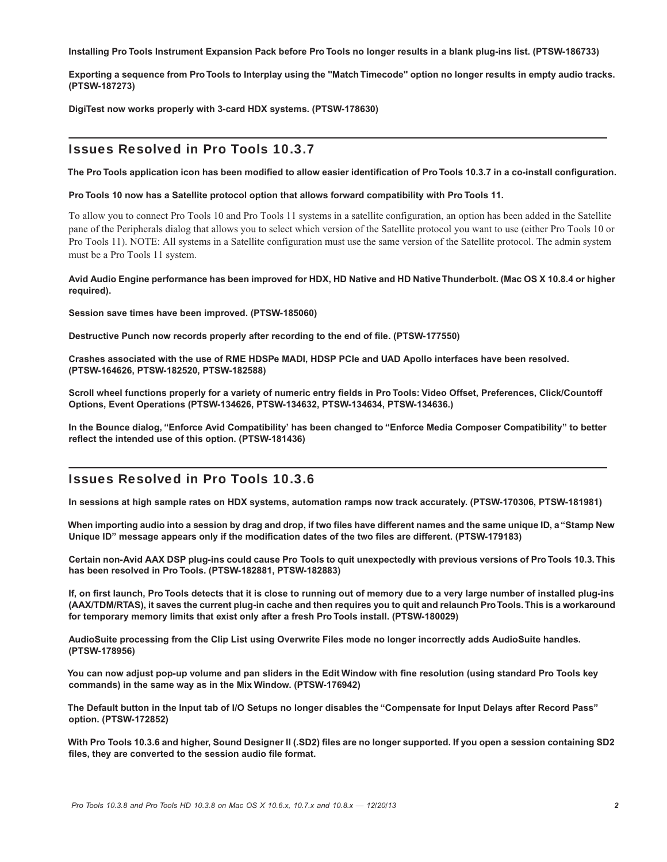**Installing Pro Tools Instrument Expansion Pack before Pro Tools no longer results in a blank plug-ins list. (PTSW-186733)**

**Exporting a sequence from Pro Tools to Interplay using the "Match Timecode" option no longer results in empty audio tracks. (PTSW-187273)**

**DigiTest now works properly with 3-card HDX systems. (PTSW-178630)**

# Issues Resolved in Pro Tools 10.3.7

**The Pro Tools application icon has been modified to allow easier identification of Pro Tools 10.3.7 in a co-install configuration.**

#### **Pro Tools 10 now has a Satellite protocol option that allows forward compatibility with Pro Tools 11.**

To allow you to connect Pro Tools 10 and Pro Tools 11 systems in a satellite configuration, an option has been added in the Satellite pane of the Peripherals dialog that allows you to select which version of the Satellite protocol you want to use (either Pro Tools 10 or Pro Tools 11). NOTE: All systems in a Satellite configuration must use the same version of the Satellite protocol. The admin system must be a Pro Tools 11 system.

#### **Avid Audio Engine performance has been improved for HDX, HD Native and HD Native Thunderbolt. (Mac OS X 10.8.4 or higher required).**

**Session save times have been improved. (PTSW-185060)**

**Destructive Punch now records properly after recording to the end of file. (PTSW-177550)**

**Crashes associated with the use of RME HDSPe MADI, HDSP PCIe and UAD Apollo interfaces have been resolved. (PTSW-164626, PTSW-182520, PTSW-182588)**

**Scroll wheel functions properly for a variety of numeric entry fields in Pro Tools: Video Offset, Preferences, Click/Countoff Options, Event Operations (PTSW-134626, PTSW-134632, PTSW-134634, PTSW-134636.)**

**In the Bounce dialog, "Enforce Avid Compatibility' has been changed to "Enforce Media Composer Compatibility" to better reflect the intended use of this option. (PTSW-181436)**

# Issues Resolved in Pro Tools 10.3.6

**In sessions at high sample rates on HDX systems, automation ramps now track accurately. (PTSW-170306, PTSW-181981)**

**When importing audio into a session by drag and drop, if two files have different names and the same unique ID, a "Stamp New Unique ID" message appears only if the modification dates of the two files are different. (PTSW-179183)**

**Certain non-Avid AAX DSP plug-ins could cause Pro Tools to quit unexpectedly with previous versions of Pro Tools 10.3. This has been resolved in Pro Tools. (PTSW-182881, PTSW-182883)**

**If, on first launch, Pro Tools detects that it is close to running out of memory due to a very large number of installed plug-ins (AAX/TDM/RTAS), it saves the current plug-in cache and then requires you to quit and relaunch ProTools. This is a workaround for temporary memory limits that exist only after a fresh Pro Tools install. (PTSW-180029)**

**AudioSuite processing from the Clip List using Overwrite Files mode no longer incorrectly adds AudioSuite handles. (PTSW-178956)**

**You can now adjust pop-up volume and pan sliders in the Edit Window with fine resolution (using standard Pro Tools key commands) in the same way as in the Mix Window. (PTSW-176942)**

**The Default button in the Input tab of I/O Setups no longer disables the "Compensate for Input Delays after Record Pass" option. (PTSW-172852)**

**With Pro Tools 10.3.6 and higher, Sound Designer II (.SD2) files are no longer supported. If you open a session containing SD2 files, they are converted to the session audio file format.**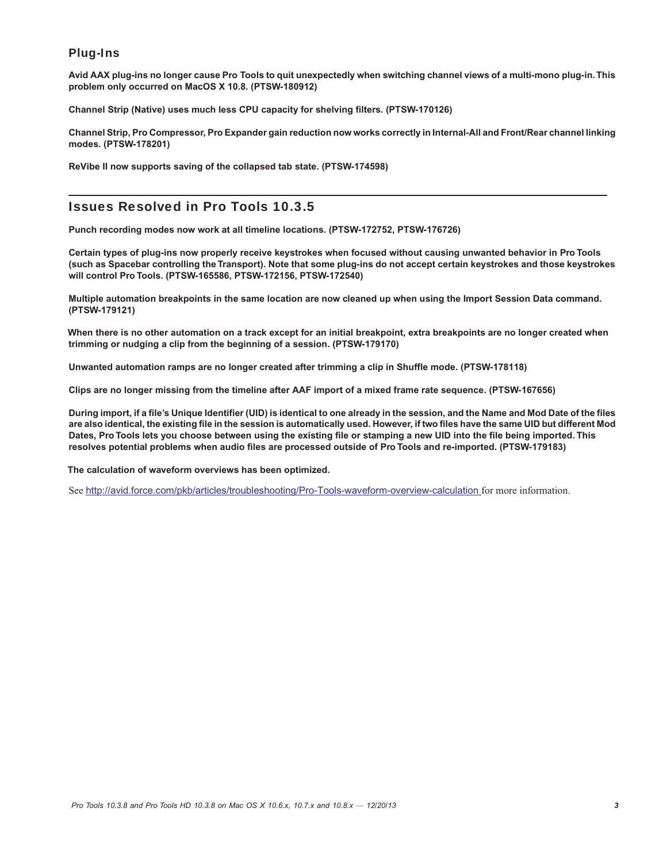# Plug-Ins

**Avid AAX plug-ins no longer cause Pro Tools to quit unexpectedly when switching channel views of a multi-mono plug-in. This problem only occurred on MacOS X 10.8. (PTSW-180912)**

**Channel Strip (Native) uses much less CPU capacity for shelving filters. (PTSW-170126)**

**Channel Strip, Pro Compressor, Pro Expander gain reduction now works correctly in Internal-All and Front/Rear channel linking modes. (PTSW-178201)**

**ReVibe II now supports saving of the collapsed tab state. (PTSW-174598)**

# Issues Resolved in Pro Tools 10.3.5

**Punch recording modes now work at all timeline locations. (PTSW-172752, PTSW-176726)**

**Certain types of plug-ins now properly receive keystrokes when focused without causing unwanted behavior in Pro Tools (such as Spacebar controlling the Transport). Note that some plug-ins do not accept certain keystrokes and those keystrokes will control Pro Tools. (PTSW-165586, PTSW-172156, PTSW-172540)**

**Multiple automation breakpoints in the same location are now cleaned up when using the Import Session Data command. (PTSW-179121)**

**When there is no other automation on a track except for an initial breakpoint, extra breakpoints are no longer created when trimming or nudging a clip from the beginning of a session. (PTSW-179170)**

**Unwanted automation ramps are no longer created after trimming a clip in Shuffle mode. (PTSW-178118)**

**Clips are no longer missing from the timeline after AAF import of a mixed frame rate sequence. (PTSW-167656)**

**During import, if a file's Unique Identifier (UID) is identical to one already in the session, and the Name and Mod Date of the files are also identical, the existing file in the session is automatically used. However, if two files have the same UID but different Mod Dates, Pro Tools lets you choose between using the existing file or stamping a new UID into the file being imported. This resolves potential problems when audio files are processed outside of Pro Tools and re-imported. (PTSW-179183)**

**The calculation of waveform overviews has been optimized.**

See <http://avid.force.com/pkb/articles/troubleshooting/Pro-Tools-waveform-overview-calculation> for more information.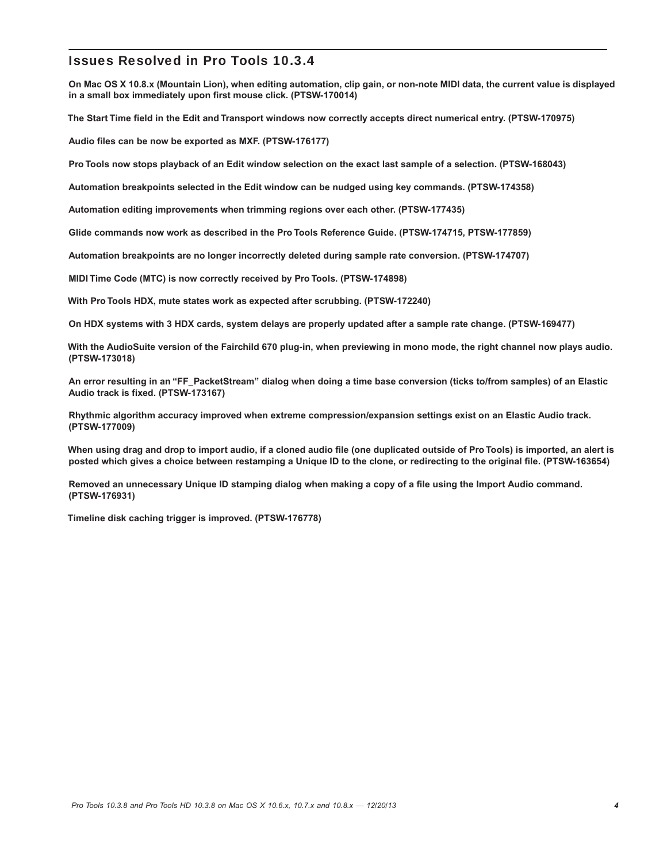# Issues Resolved in Pro Tools 10.3.4

**On Mac OS X 10.8.x (Mountain Lion), when editing automation, clip gain, or non-note MIDI data, the current value is displayed in a small box immediately upon first mouse click. (PTSW-170014)**

**The Start Time field in the Edit and Transport windows now correctly accepts direct numerical entry. (PTSW-170975)**

**Audio files can be now be exported as MXF. (PTSW-176177)**

**Pro Tools now stops playback of an Edit window selection on the exact last sample of a selection. (PTSW-168043)**

**Automation breakpoints selected in the Edit window can be nudged using key commands. (PTSW-174358)**

**Automation editing improvements when trimming regions over each other. (PTSW-177435)**

**Glide commands now work as described in the Pro Tools Reference Guide. (PTSW-174715, PTSW-177859)**

**Automation breakpoints are no longer incorrectly deleted during sample rate conversion. (PTSW-174707)**

**MIDI Time Code (MTC) is now correctly received by Pro Tools. (PTSW-174898)**

**With Pro Tools HDX, mute states work as expected after scrubbing. (PTSW-172240)**

**On HDX systems with 3 HDX cards, system delays are properly updated after a sample rate change. (PTSW-169477)**

**With the AudioSuite version of the Fairchild 670 plug-in, when previewing in mono mode, the right channel now plays audio. (PTSW-173018)**

**An error resulting in an "FF\_PacketStream" dialog when doing a time base conversion (ticks to/from samples) of an Elastic Audio track is fixed. (PTSW-173167)**

**Rhythmic algorithm accuracy improved when extreme compression/expansion settings exist on an Elastic Audio track. (PTSW-177009)**

**When using drag and drop to import audio, if a cloned audio file (one duplicated outside of Pro Tools) is imported, an alert is posted which gives a choice between restamping a Unique ID to the clone, or redirecting to the original file. (PTSW-163654)**

**Removed an unnecessary Unique ID stamping dialog when making a copy of a file using the Import Audio command. (PTSW-176931)**

**Timeline disk caching trigger is improved. (PTSW-176778)**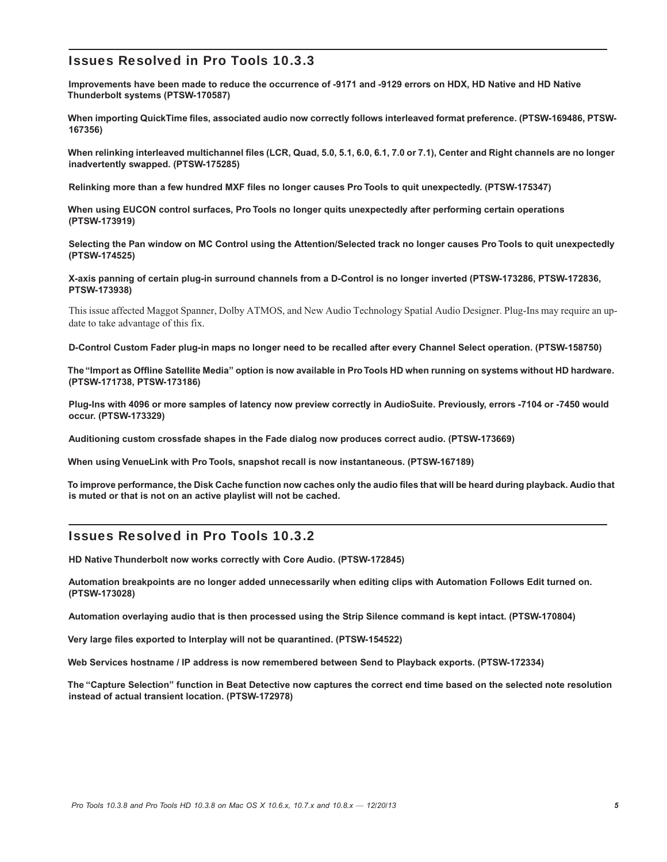# Issues Resolved in Pro Tools 10.3.3

**Improvements have been made to reduce the occurrence of -9171 and -9129 errors on HDX, HD Native and HD Native Thunderbolt systems (PTSW-170587)**

**When importing QuickTime files, associated audio now correctly follows interleaved format preference. (PTSW-169486, PTSW-167356)**

**When relinking interleaved multichannel files (LCR, Quad, 5.0, 5.1, 6.0, 6.1, 7.0 or 7.1), Center and Right channels are no longer inadvertently swapped. (PTSW-175285)**

**Relinking more than a few hundred MXF files no longer causes Pro Tools to quit unexpectedly. (PTSW-175347)**

**When using EUCON control surfaces, Pro Tools no longer quits unexpectedly after performing certain operations (PTSW-173919)**

**Selecting the Pan window on MC Control using the Attention/Selected track no longer causes Pro Tools to quit unexpectedly (PTSW-174525)**

**X-axis panning of certain plug-in surround channels from a D-Control is no longer inverted (PTSW-173286, PTSW-172836, PTSW-173938)**

This issue affected Maggot Spanner, Dolby ATMOS, and New Audio Technology Spatial Audio Designer. Plug-Ins may require an update to take advantage of this fix.

**D-Control Custom Fader plug-in maps no longer need to be recalled after every Channel Select operation. (PTSW-158750)**

**The "Import as Offline Satellite Media" option is now available in Pro Tools HD when running on systems without HD hardware. (PTSW-171738, PTSW-173186)**

**Plug-Ins with 4096 or more samples of latency now preview correctly in AudioSuite. Previously, errors -7104 or -7450 would occur. (PTSW-173329)**

**Auditioning custom crossfade shapes in the Fade dialog now produces correct audio. (PTSW-173669)**

**When using VenueLink with Pro Tools, snapshot recall is now instantaneous. (PTSW-167189)**

**To improve performance, the Disk Cache function now caches only the audio files that will be heard during playback. Audio that is muted or that is not on an active playlist will not be cached.**

# Issues Resolved in Pro Tools 10.3.2

**HD Native Thunderbolt now works correctly with Core Audio. (PTSW-172845)**

**Automation breakpoints are no longer added unnecessarily when editing clips with Automation Follows Edit turned on. (PTSW-173028)**

**Automation overlaying audio that is then processed using the Strip Silence command is kept intact. (PTSW-170804)**

**Very large files exported to Interplay will not be quarantined. (PTSW-154522)**

**Web Services hostname / IP address is now remembered between Send to Playback exports. (PTSW-172334)**

**The "Capture Selection" function in Beat Detective now captures the correct end time based on the selected note resolution instead of actual transient location. (PTSW-172978)**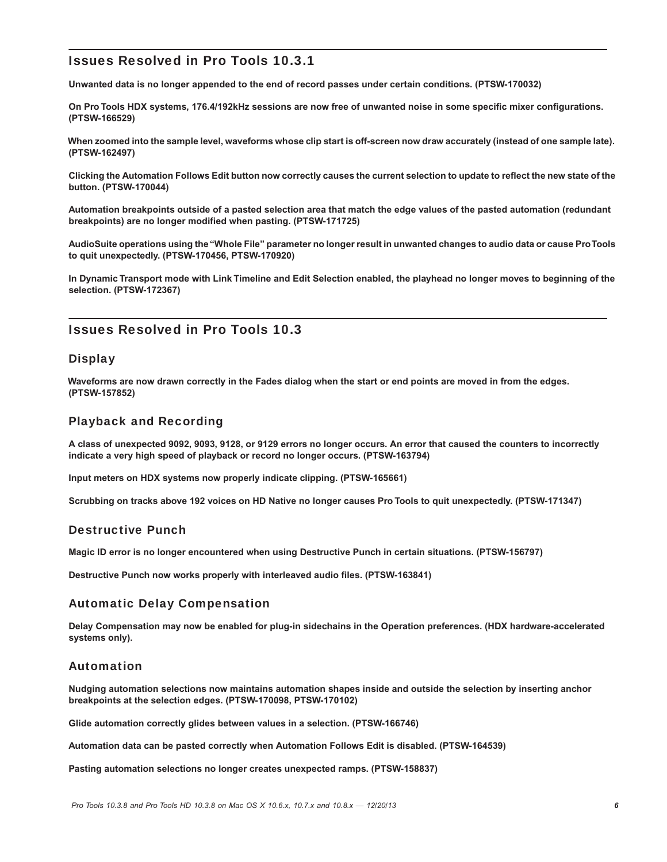# Issues Resolved in Pro Tools 10.3.1

**Unwanted data is no longer appended to the end of record passes under certain conditions. (PTSW-170032)**

**On Pro Tools HDX systems, 176.4/192kHz sessions are now free of unwanted noise in some specific mixer configurations. (PTSW-166529)**

**When zoomed into the sample level, waveforms whose clip start is off-screen now draw accurately (instead of one sample late). (PTSW-162497)**

**Clicking the Automation Follows Edit button now correctly causes the current selection to update to reflect the new state of the button. (PTSW-170044)**

**Automation breakpoints outside of a pasted selection area that match the edge values of the pasted automation (redundant breakpoints) are no longer modified when pasting. (PTSW-171725)**

**AudioSuite operations using the "Whole File" parameter no longer result in unwanted changes to audio data or cause ProTools to quit unexpectedly. (PTSW-170456, PTSW-170920)**

**In Dynamic Transport mode with Link Timeline and Edit Selection enabled, the playhead no longer moves to beginning of the selection. (PTSW-172367)**

# Issues Resolved in Pro Tools 10.3

# **Display**

**Waveforms are now drawn correctly in the Fades dialog when the start or end points are moved in from the edges. (PTSW-157852)**

# Playback and Recording

**A class of unexpected 9092, 9093, 9128, or 9129 errors no longer occurs. An error that caused the counters to incorrectly indicate a very high speed of playback or record no longer occurs. (PTSW-163794)**

**Input meters on HDX systems now properly indicate clipping. (PTSW-165661)**

**Scrubbing on tracks above 192 voices on HD Native no longer causes Pro Tools to quit unexpectedly. (PTSW-171347)**

# Destructive Punch

**Magic ID error is no longer encountered when using Destructive Punch in certain situations. (PTSW-156797)**

**Destructive Punch now works properly with interleaved audio files. (PTSW-163841)**

# Automatic Delay Compensation

**Delay Compensation may now be enabled for plug-in sidechains in the Operation preferences. (HDX hardware-accelerated systems only).**

# Automation

**Nudging automation selections now maintains automation shapes inside and outside the selection by inserting anchor breakpoints at the selection edges. (PTSW-170098, PTSW-170102)**

**Glide automation correctly glides between values in a selection. (PTSW-166746)**

**Automation data can be pasted correctly when Automation Follows Edit is disabled. (PTSW-164539)**

**Pasting automation selections no longer creates unexpected ramps. (PTSW-158837)**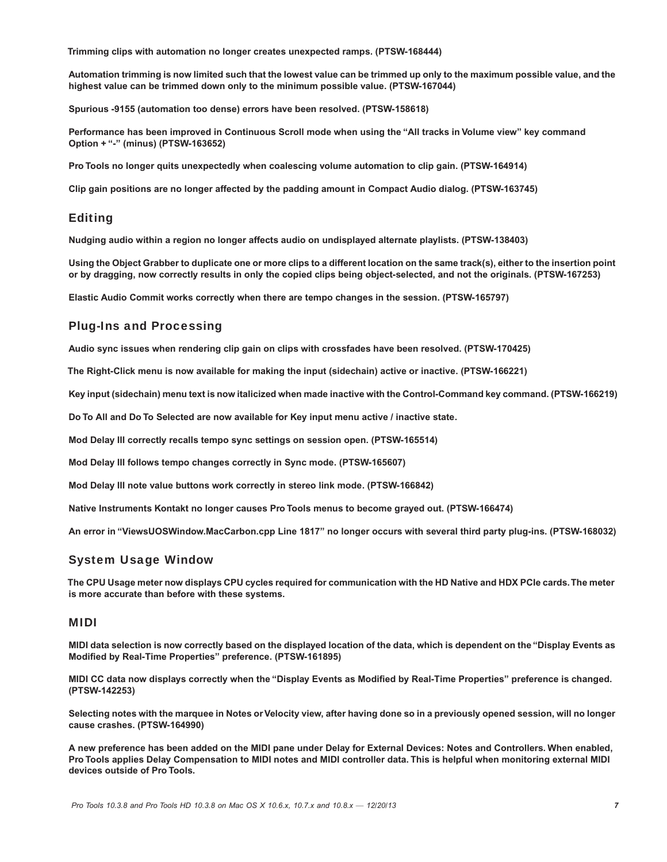**Trimming clips with automation no longer creates unexpected ramps. (PTSW-168444)**

**Automation trimming is now limited such that the lowest value can be trimmed up only to the maximum possible value, and the highest value can be trimmed down only to the minimum possible value. (PTSW-167044)**

**Spurious -9155 (automation too dense) errors have been resolved. (PTSW-158618)**

**Performance has been improved in Continuous Scroll mode when using the "All tracks in Volume view" key command Option + "-" (minus) (PTSW-163652)**

**Pro Tools no longer quits unexpectedly when coalescing volume automation to clip gain. (PTSW-164914)**

**Clip gain positions are no longer affected by the padding amount in Compact Audio dialog. (PTSW-163745)**

# Editing

**Nudging audio within a region no longer affects audio on undisplayed alternate playlists. (PTSW-138403)**

**Using the Object Grabber to duplicate one or more clips to a different location on the same track(s), either to the insertion point or by dragging, now correctly results in only the copied clips being object-selected, and not the originals. (PTSW-167253)**

**Elastic Audio Commit works correctly when there are tempo changes in the session. (PTSW-165797)**

# Plug-Ins and Processing

**Audio sync issues when rendering clip gain on clips with crossfades have been resolved. (PTSW-170425)**

**The Right-Click menu is now available for making the input (sidechain) active or inactive. (PTSW-166221)**

**Key input (sidechain) menu text is now italicized when made inactive with the Control-Command key command. (PTSW-166219)**

**Do To All and Do To Selected are now available for Key input menu active / inactive state.**

**Mod Delay III correctly recalls tempo sync settings on session open. (PTSW-165514)**

**Mod Delay III follows tempo changes correctly in Sync mode. (PTSW-165607)**

**Mod Delay III note value buttons work correctly in stereo link mode. (PTSW-166842)**

**Native Instruments Kontakt no longer causes Pro Tools menus to become grayed out. (PTSW-166474)**

**An error in "ViewsUOSWindow.MacCarbon.cpp Line 1817" no longer occurs with several third party plug-ins. (PTSW-168032)**

# System Usage Window

**The CPU Usage meter now displays CPU cycles required for communication with the HD Native and HDX PCIe cards.The meter is more accurate than before with these systems.**

# MIDI

**MIDI data selection is now correctly based on the displayed location of the data, which is dependent on the "Display Events as Modified by Real-Time Properties" preference. (PTSW-161895)**

**MIDI CC data now displays correctly when the "Display Events as Modified by Real-Time Properties" preference is changed. (PTSW-142253)**

**Selecting notes with the marquee in Notes or Velocity view, after having done so in a previously opened session, will no longer cause crashes. (PTSW-164990)**

**A new preference has been added on the MIDI pane under Delay for External Devices: Notes and Controllers. When enabled, Pro Tools applies Delay Compensation to MIDI notes and MIDI controller data. This is helpful when monitoring external MIDI devices outside of Pro Tools.**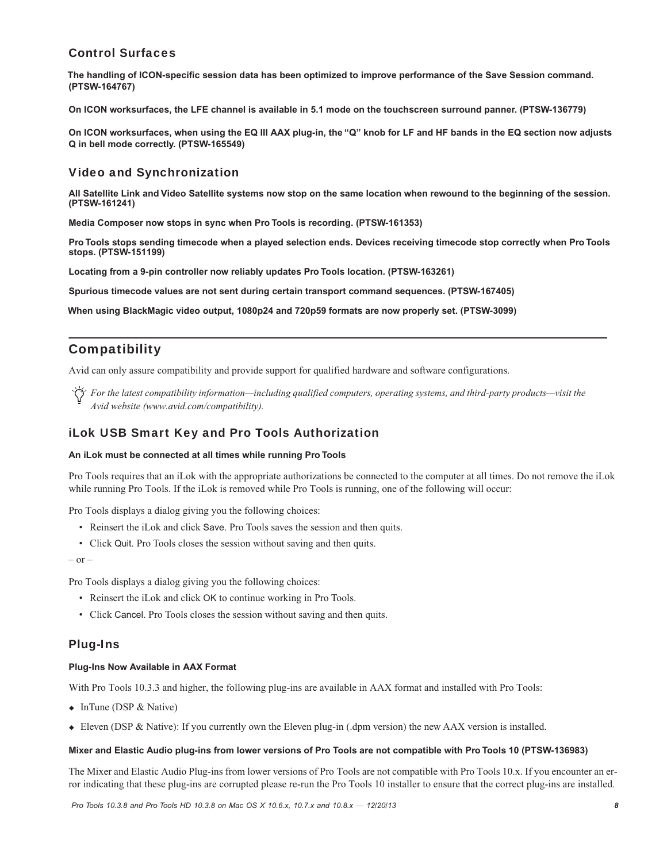# Control Surfaces

**The handling of ICON-specific session data has been optimized to improve performance of the Save Session command. (PTSW-164767)**

**On ICON worksurfaces, the LFE channel is available in 5.1 mode on the touchscreen surround panner. (PTSW-136779)**

**On ICON worksurfaces, when using the EQ III AAX plug-in, the "Q" knob for LF and HF bands in the EQ section now adjusts Q in bell mode correctly. (PTSW-165549)**

# Video and Synchronization

**All Satellite Link and Video Satellite systems now stop on the same location when rewound to the beginning of the session. (PTSW-161241)**

**Media Composer now stops in sync when Pro Tools is recording. (PTSW-161353)**

**Pro Tools stops sending timecode when a played selection ends. Devices receiving timecode stop correctly when Pro Tools stops. (PTSW-151199)**

**Locating from a 9-pin controller now reliably updates Pro Tools location. (PTSW-163261)**

**Spurious timecode values are not sent during certain transport command sequences. (PTSW-167405)**

**When using BlackMagic video output, 1080p24 and 720p59 formats are now properly set. (PTSW-3099)**

# Compatibility

Avid can only assure compatibility and provide support for qualified hardware and software configurations.

*For the latest compatibility information—including qualified computers, operating systems, and third-party products—visit the Avid website (www.avid.com/compatibility).*

# iLok USB Smart Key and Pro Tools Authorization

#### **An iLok must be connected at all times while running Pro Tools**

Pro Tools requires that an iLok with the appropriate authorizations be connected to the computer at all times. Do not remove the iLok while running Pro Tools. If the iLok is removed while Pro Tools is running, one of the following will occur:

Pro Tools displays a dialog giving you the following choices:

- Reinsert the iLok and click Save. Pro Tools saves the session and then quits.
- Click Quit. Pro Tools closes the session without saving and then quits.

 $-$  or  $-$ 

Pro Tools displays a dialog giving you the following choices:

- Reinsert the iLok and click OK to continue working in Pro Tools.
- Click Cancel. Pro Tools closes the session without saving and then quits.

# Plug-Ins

#### **Plug-Ins Now Available in AAX Format**

With Pro Tools 10.3.3 and higher, the following plug-ins are available in AAX format and installed with Pro Tools:

- $\bullet$  InTune (DSP & Native)
- Eleven (DSP & Native): If you currently own the Eleven plug-in (.dpm version) the new AAX version is installed.

#### **Mixer and Elastic Audio plug-ins from lower versions of Pro Tools are not compatible with Pro Tools 10 (PTSW-136983)**

The Mixer and Elastic Audio Plug-ins from lower versions of Pro Tools are not compatible with Pro Tools 10.x. If you encounter an error indicating that these plug-ins are corrupted please re-run the Pro Tools 10 installer to ensure that the correct plug-ins are installed.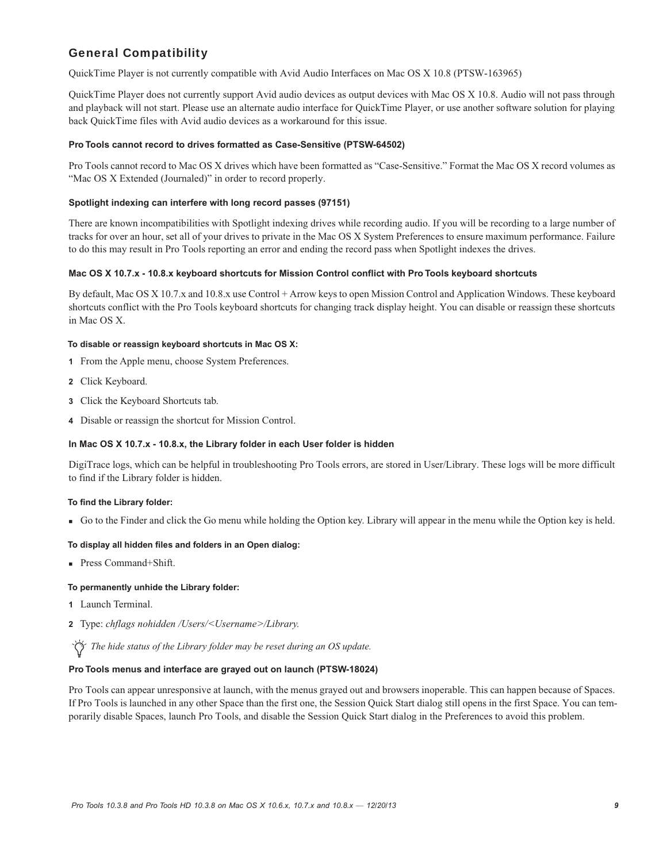# General Compatibility

QuickTime Player is not currently compatible with Avid Audio Interfaces on Mac OS X 10.8 (PTSW-163965)

QuickTime Player does not currently support Avid audio devices as output devices with Mac OS X 10.8. Audio will not pass through and playback will not start. Please use an alternate audio interface for QuickTime Player, or use another software solution for playing back QuickTime files with Avid audio devices as a workaround for this issue.

#### **Pro Tools cannot record to drives formatted as Case-Sensitive (PTSW-64502)**

Pro Tools cannot record to Mac OS X drives which have been formatted as "Case-Sensitive." Format the Mac OS X record volumes as "Mac OS X Extended (Journaled)" in order to record properly.

#### **Spotlight indexing can interfere with long record passes (97151)**

There are known incompatibilities with Spotlight indexing drives while recording audio. If you will be recording to a large number of tracks for over an hour, set all of your drives to private in the Mac OS X System Preferences to ensure maximum performance. Failure to do this may result in Pro Tools reporting an error and ending the record pass when Spotlight indexes the drives.

#### **Mac OS X 10.7.x - 10.8.x keyboard shortcuts for Mission Control conflict with Pro Tools keyboard shortcuts**

By default, Mac OS X 10.7.x and 10.8.x use Control + Arrow keys to open Mission Control and Application Windows. These keyboard shortcuts conflict with the Pro Tools keyboard shortcuts for changing track display height. You can disable or reassign these shortcuts in Mac OS X.

#### **To disable or reassign keyboard shortcuts in Mac OS X:**

- **1** From the Apple menu, choose System Preferences.
- **2** Click Keyboard.
- **3** Click the Keyboard Shortcuts tab.
- **4** Disable or reassign the shortcut for Mission Control.

#### **In Mac OS X 10.7.x - 10.8.x, the Library folder in each User folder is hidden**

DigiTrace logs, which can be helpful in troubleshooting Pro Tools errors, are stored in User/Library. These logs will be more difficult to find if the Library folder is hidden.

#### **To find the Library folder:**

Go to the Finder and click the Go menu while holding the Option key. Library will appear in the menu while the Option key is held.

#### **To display all hidden files and folders in an Open dialog:**

■ Press Command+Shift.

#### **To permanently unhide the Library folder:**

- **1** Launch Terminal.
- **2** Type: *chflags nohidden /Users/<Username>/Library.*

# *The hide status of the Library folder may be reset during an OS update.*

#### **Pro Tools menus and interface are grayed out on launch (PTSW-18024)**

Pro Tools can appear unresponsive at launch, with the menus grayed out and browsers inoperable. This can happen because of Spaces. If Pro Tools is launched in any other Space than the first one, the Session Quick Start dialog still opens in the first Space. You can temporarily disable Spaces, launch Pro Tools, and disable the Session Quick Start dialog in the Preferences to avoid this problem.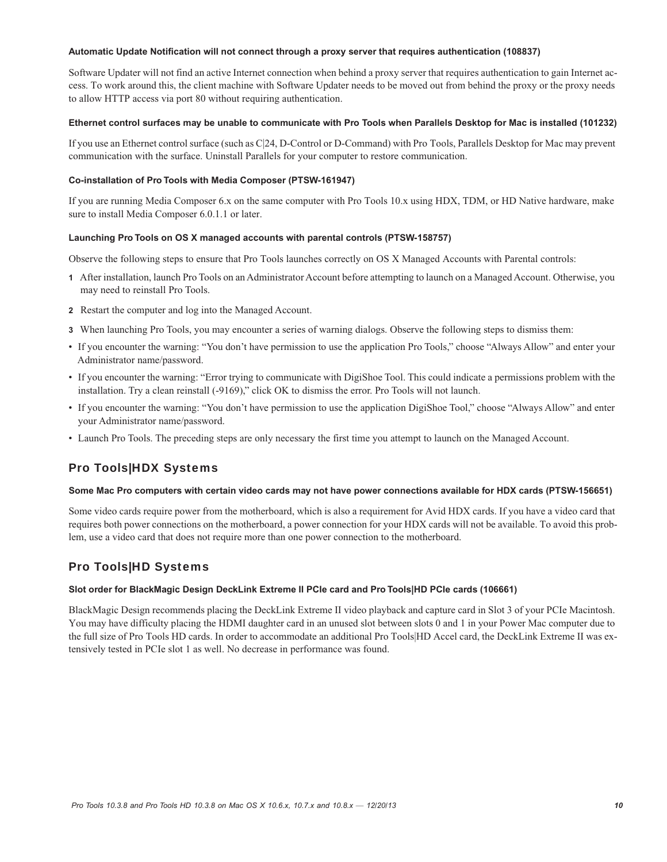#### **Automatic Update Notification will not connect through a proxy server that requires authentication (108837)**

Software Updater will not find an active Internet connection when behind a proxy server that requires authentication to gain Internet access. To work around this, the client machine with Software Updater needs to be moved out from behind the proxy or the proxy needs to allow HTTP access via port 80 without requiring authentication.

#### **Ethernet control surfaces may be unable to communicate with Pro Tools when Parallels Desktop for Mac is installed (101232)**

If you use an Ethernet control surface (such as C|24, D-Control or D-Command) with Pro Tools, Parallels Desktop for Mac may prevent communication with the surface. Uninstall Parallels for your computer to restore communication.

# **Co-installation of Pro Tools with Media Composer (PTSW-161947)**

If you are running Media Composer 6.x on the same computer with Pro Tools 10.x using HDX, TDM, or HD Native hardware, make sure to install Media Composer 6.0.1.1 or later.

# **Launching Pro Tools on OS X managed accounts with parental controls (PTSW-158757)**

Observe the following steps to ensure that Pro Tools launches correctly on OS X Managed Accounts with Parental controls:

- **1** After installation, launch Pro Tools on an Administrator Account before attempting to launch on a Managed Account. Otherwise, you may need to reinstall Pro Tools.
- **2** Restart the computer and log into the Managed Account.
- **3** When launching Pro Tools, you may encounter a series of warning dialogs. Observe the following steps to dismiss them:
- If you encounter the warning: "You don't have permission to use the application Pro Tools," choose "Always Allow" and enter your Administrator name/password.
- If you encounter the warning: "Error trying to communicate with DigiShoe Tool. This could indicate a permissions problem with the installation. Try a clean reinstall (-9169)," click OK to dismiss the error. Pro Tools will not launch.
- If you encounter the warning: "You don't have permission to use the application DigiShoe Tool," choose "Always Allow" and enter your Administrator name/password.
- Launch Pro Tools. The preceding steps are only necessary the first time you attempt to launch on the Managed Account.

# Pro Tools|HDX Systems

# **Some Mac Pro computers with certain video cards may not have power connections available for HDX cards (PTSW-156651)**

Some video cards require power from the motherboard, which is also a requirement for Avid HDX cards. If you have a video card that requires both power connections on the motherboard, a power connection for your HDX cards will not be available. To avoid this problem, use a video card that does not require more than one power connection to the motherboard.

# Pro Tools|HD Systems

# **Slot order for BlackMagic Design DeckLink Extreme II PCIe card and Pro Tools|HD PCIe cards (106661)**

BlackMagic Design recommends placing the DeckLink Extreme II video playback and capture card in Slot 3 of your PCIe Macintosh. You may have difficulty placing the HDMI daughter card in an unused slot between slots 0 and 1 in your Power Mac computer due to the full size of Pro Tools HD cards. In order to accommodate an additional Pro Tools|HD Accel card, the DeckLink Extreme II was extensively tested in PCIe slot 1 as well. No decrease in performance was found.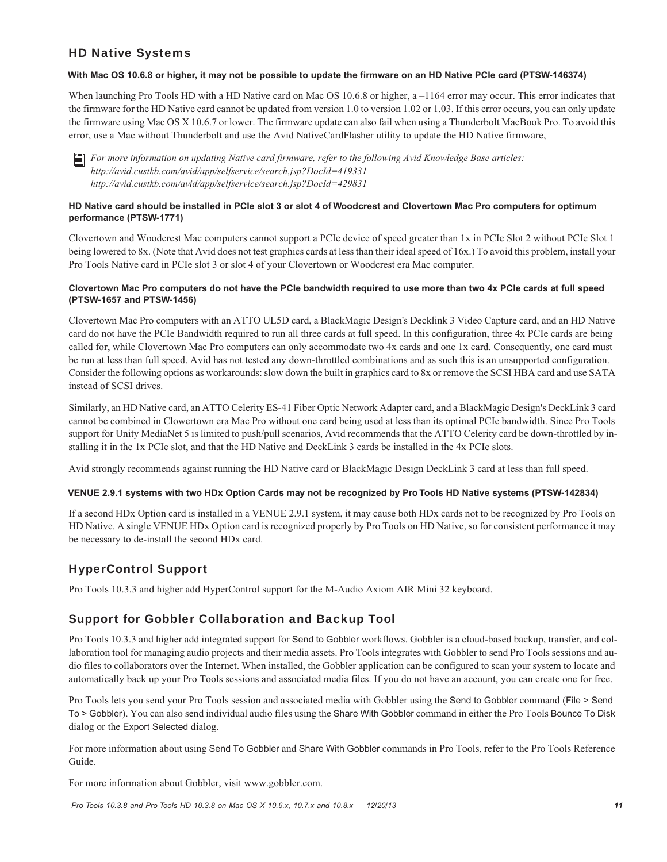# HD Native Systems

### **With Mac OS 10.6.8 or higher, it may not be possible to update the firmware on an HD Native PCIe card (PTSW-146374)**

When launching Pro Tools HD with a HD Native card on Mac OS 10.6.8 or higher, a –1164 error may occur. This error indicates that the firmware for the HD Native card cannot be updated from version 1.0 to version 1.02 or 1.03. If this error occurs, you can only update the firmware using Mac OS X 10.6.7 or lower. The firmware update can also fail when using a Thunderbolt MacBook Pro. To avoid this error, use a Mac without Thunderbolt and use the Avid NativeCardFlasher utility to update the HD Native firmware,

*For more information on updating Native card firmware, refer to the following Avid Knowledge Base articles: http://avid.custkb.com/avid/app/selfservice/search.jsp?DocId=419331 http://avid.custkb.com/avid/app/selfservice/search.jsp?DocId=429831*

# **HD Native card should be installed in PCIe slot 3 or slot 4 of Woodcrest and Clovertown Mac Pro computers for optimum performance (PTSW-1771)**

Clovertown and Woodcrest Mac computers cannot support a PCIe device of speed greater than 1x in PCIe Slot 2 without PCIe Slot 1 being lowered to 8x. (Note that Avid does not test graphics cards at less than their ideal speed of 16x.) To avoid this problem, install your Pro Tools Native card in PCIe slot 3 or slot 4 of your Clovertown or Woodcrest era Mac computer.

# **Clovertown Mac Pro computers do not have the PCIe bandwidth required to use more than two 4x PCIe cards at full speed (PTSW-1657 and PTSW-1456)**

Clovertown Mac Pro computers with an ATTO UL5D card, a BlackMagic Design's Decklink 3 Video Capture card, and an HD Native card do not have the PCIe Bandwidth required to run all three cards at full speed. In this configuration, three 4x PCIe cards are being called for, while Clovertown Mac Pro computers can only accommodate two 4x cards and one 1x card. Consequently, one card must be run at less than full speed. Avid has not tested any down-throttled combinations and as such this is an unsupported configuration. Consider the following options as workarounds: slow down the built in graphics card to 8x or remove the SCSI HBA card and use SATA instead of SCSI drives.

Similarly, an HD Native card, an ATTO Celerity ES-41 Fiber Optic Network Adapter card, and a BlackMagic Design's DeckLink 3 card cannot be combined in Clowertown era Mac Pro without one card being used at less than its optimal PCIe bandwidth. Since Pro Tools support for Unity MediaNet 5 is limited to push/pull scenarios, Avid recommends that the ATTO Celerity card be down-throttled by installing it in the 1x PCIe slot, and that the HD Native and DeckLink 3 cards be installed in the 4x PCIe slots.

Avid strongly recommends against running the HD Native card or BlackMagic Design DeckLink 3 card at less than full speed.

# **VENUE 2.9.1 systems with two HDx Option Cards may not be recognized by Pro Tools HD Native systems (PTSW-142834)**

If a second HDx Option card is installed in a VENUE 2.9.1 system, it may cause both HDx cards not to be recognized by Pro Tools on HD Native. A single VENUE HDx Option card is recognized properly by Pro Tools on HD Native, so for consistent performance it may be necessary to de-install the second HDx card.

# HyperControl Support

Pro Tools 10.3.3 and higher add HyperControl support for the M-Audio Axiom AIR Mini 32 keyboard.

# Support for Gobbler Collaboration and Backup Tool

Pro Tools 10.3.3 and higher add integrated support for Send to Gobbler workflows. Gobbler is a cloud-based backup, transfer, and collaboration tool for managing audio projects and their media assets. Pro Tools integrates with Gobbler to send Pro Tools sessions and audio files to collaborators over the Internet. When installed, the Gobbler application can be configured to scan your system to locate and automatically back up your Pro Tools sessions and associated media files. If you do not have an account, you can create one for free.

Pro Tools lets you send your Pro Tools session and associated media with Gobbler using the Send to Gobbler command (File > Send To > Gobbler). You can also send individual audio files using the Share With Gobbler command in either the Pro Tools Bounce To Disk dialog or the Export Selected dialog.

For more information about using Send To Gobbler and Share With Gobbler commands in Pro Tools, refer to the Pro Tools Reference Guide.

For more information about Gobbler, visit www.gobbler.com.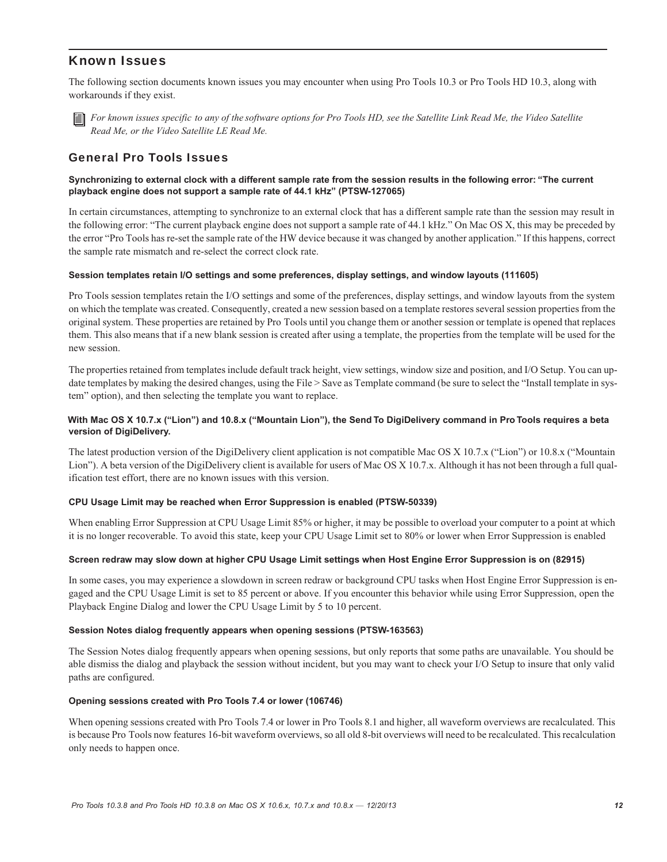# Known Issues

The following section documents known issues you may encounter when using Pro Tools 10.3 or Pro Tools HD 10.3, along with workarounds if they exist.



*For known issues specific to any of the software options for Pro Tools HD, see the Satellite Link Read Me, the Video Satellite Read Me, or the Video Satellite LE Read Me.*

# General Pro Tools Issues

# **Synchronizing to external clock with a different sample rate from the session results in the following error: "The current playback engine does not support a sample rate of 44.1 kHz" (PTSW-127065)**

In certain circumstances, attempting to synchronize to an external clock that has a different sample rate than the session may result in the following error: "The current playback engine does not support a sample rate of 44.1 kHz." On Mac OS X, this may be preceded by the error "Pro Tools has re-set the sample rate of the HW device because it was changed by another application." If this happens, correct the sample rate mismatch and re-select the correct clock rate.

#### **Session templates retain I/O settings and some preferences, display settings, and window layouts (111605)**

Pro Tools session templates retain the I/O settings and some of the preferences, display settings, and window layouts from the system on which the template was created. Consequently, created a new session based on a template restores several session properties from the original system. These properties are retained by Pro Tools until you change them or another session or template is opened that replaces them. This also means that if a new blank session is created after using a template, the properties from the template will be used for the new session.

The properties retained from templates include default track height, view settings, window size and position, and I/O Setup. You can update templates by making the desired changes, using the File > Save as Template command (be sure to select the "Install template in system" option), and then selecting the template you want to replace.

# **With Mac OS X 10.7.x ("Lion") and 10.8.x ("Mountain Lion"), the Send To DigiDelivery command in Pro Tools requires a beta version of DigiDelivery.**

The latest production version of the DigiDelivery client application is not compatible Mac OS X 10.7.x ("Lion") or 10.8.x ("Mountain Lion"). A beta version of the DigiDelivery client is available for users of Mac OS X 10.7.x. Although it has not been through a full qualification test effort, there are no known issues with this version.

#### **CPU Usage Limit may be reached when Error Suppression is enabled (PTSW-50339)**

When enabling Error Suppression at CPU Usage Limit 85% or higher, it may be possible to overload your computer to a point at which it is no longer recoverable. To avoid this state, keep your CPU Usage Limit set to 80% or lower when Error Suppression is enabled

#### **Screen redraw may slow down at higher CPU Usage Limit settings when Host Engine Error Suppression is on (82915)**

In some cases, you may experience a slowdown in screen redraw or background CPU tasks when Host Engine Error Suppression is engaged and the CPU Usage Limit is set to 85 percent or above. If you encounter this behavior while using Error Suppression, open the Playback Engine Dialog and lower the CPU Usage Limit by 5 to 10 percent.

#### **Session Notes dialog frequently appears when opening sessions (PTSW-163563)**

The Session Notes dialog frequently appears when opening sessions, but only reports that some paths are unavailable. You should be able dismiss the dialog and playback the session without incident, but you may want to check your I/O Setup to insure that only valid paths are configured.

#### **Opening sessions created with Pro Tools 7.4 or lower (106746)**

When opening sessions created with Pro Tools 7.4 or lower in Pro Tools 8.1 and higher, all waveform overviews are recalculated. This is because Pro Tools now features 16-bit waveform overviews, so all old 8-bit overviews will need to be recalculated. This recalculation only needs to happen once.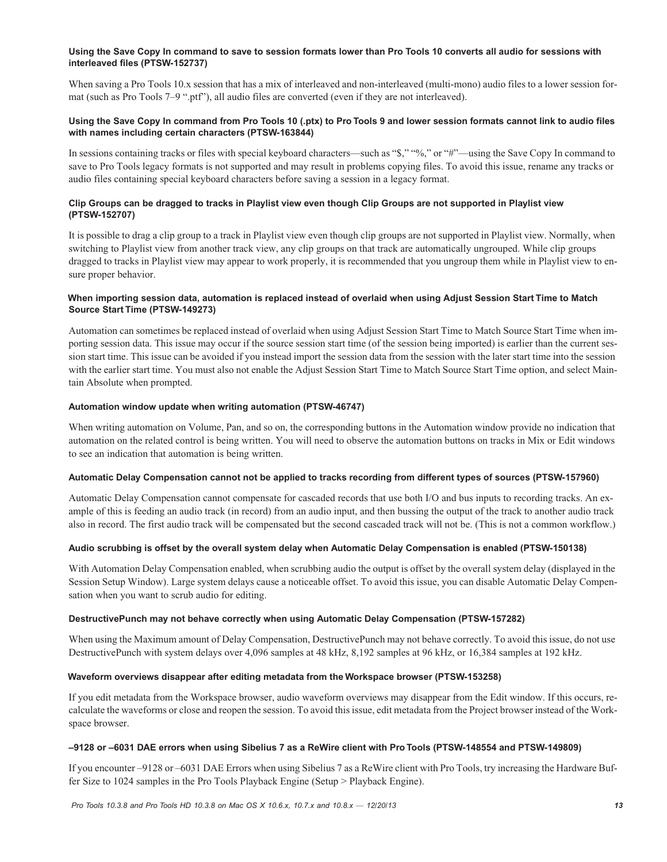### **Using the Save Copy In command to save to session formats lower than Pro Tools 10 converts all audio for sessions with interleaved files (PTSW-152737)**

When saving a Pro Tools 10.x session that has a mix of interleaved and non-interleaved (multi-mono) audio files to a lower session format (such as Pro Tools 7–9 ".ptf"), all audio files are converted (even if they are not interleaved).

# **Using the Save Copy In command from Pro Tools 10 (.ptx) to Pro Tools 9 and lower session formats cannot link to audio files with names including certain characters (PTSW-163844)**

In sessions containing tracks or files with special keyboard characters—such as "\$," "%," or "#"—using the Save Copy In command to save to Pro Tools legacy formats is not supported and may result in problems copying files. To avoid this issue, rename any tracks or audio files containing special keyboard characters before saving a session in a legacy format.

# **Clip Groups can be dragged to tracks in Playlist view even though Clip Groups are not supported in Playlist view (PTSW-152707)**

It is possible to drag a clip group to a track in Playlist view even though clip groups are not supported in Playlist view. Normally, when switching to Playlist view from another track view, any clip groups on that track are automatically ungrouped. While clip groups dragged to tracks in Playlist view may appear to work properly, it is recommended that you ungroup them while in Playlist view to ensure proper behavior.

# **When importing session data, automation is replaced instead of overlaid when using Adjust Session Start Time to Match Source Start Time (PTSW-149273)**

Automation can sometimes be replaced instead of overlaid when using Adjust Session Start Time to Match Source Start Time when importing session data. This issue may occur if the source session start time (of the session being imported) is earlier than the current session start time. This issue can be avoided if you instead import the session data from the session with the later start time into the session with the earlier start time. You must also not enable the Adjust Session Start Time to Match Source Start Time option, and select Maintain Absolute when prompted.

# **Automation window update when writing automation (PTSW-46747)**

When writing automation on Volume, Pan, and so on, the corresponding buttons in the Automation window provide no indication that automation on the related control is being written. You will need to observe the automation buttons on tracks in Mix or Edit windows to see an indication that automation is being written.

# **Automatic Delay Compensation cannot not be applied to tracks recording from different types of sources (PTSW-157960)**

Automatic Delay Compensation cannot compensate for cascaded records that use both I/O and bus inputs to recording tracks. An example of this is feeding an audio track (in record) from an audio input, and then bussing the output of the track to another audio track also in record. The first audio track will be compensated but the second cascaded track will not be. (This is not a common workflow.)

# **Audio scrubbing is offset by the overall system delay when Automatic Delay Compensation is enabled (PTSW-150138)**

With Automation Delay Compensation enabled, when scrubbing audio the output is offset by the overall system delay (displayed in the Session Setup Window). Large system delays cause a noticeable offset. To avoid this issue, you can disable Automatic Delay Compensation when you want to scrub audio for editing.

# **DestructivePunch may not behave correctly when using Automatic Delay Compensation (PTSW-157282)**

When using the Maximum amount of Delay Compensation, DestructivePunch may not behave correctly. To avoid this issue, do not use DestructivePunch with system delays over 4,096 samples at 48 kHz, 8,192 samples at 96 kHz, or 16,384 samples at 192 kHz.

# **Waveform overviews disappear after editing metadata from the Workspace browser (PTSW-153258)**

If you edit metadata from the Workspace browser, audio waveform overviews may disappear from the Edit window. If this occurs, recalculate the waveforms or close and reopen the session. To avoid this issue, edit metadata from the Project browser instead of the Workspace browser.

# **–9128 or –6031 DAE errors when using Sibelius 7 as a ReWire client with Pro Tools (PTSW-148554 and PTSW-149809)**

If you encounter –9128 or –6031 DAE Errors when using Sibelius 7 as a ReWire client with Pro Tools, try increasing the Hardware Buffer Size to 1024 samples in the Pro Tools Playback Engine (Setup > Playback Engine).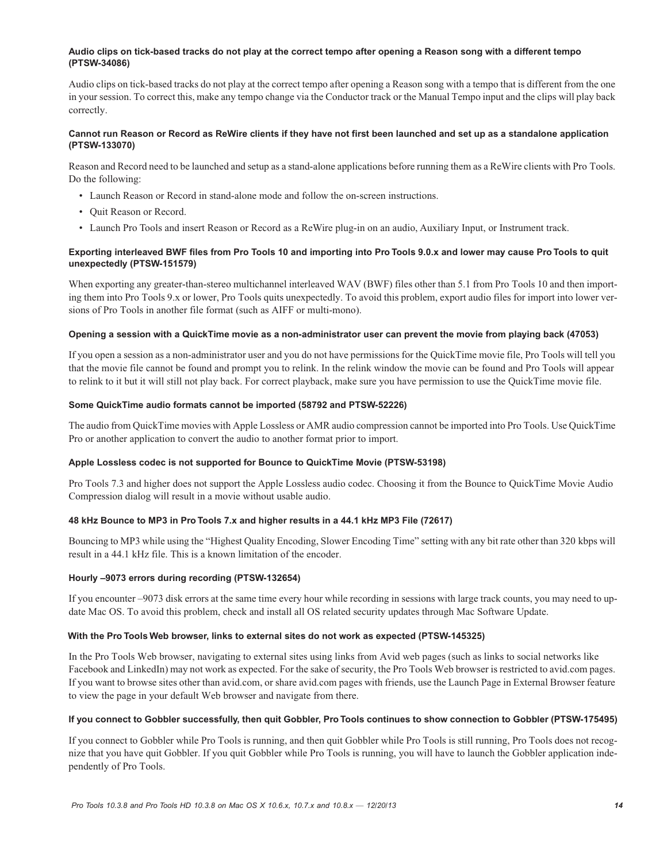### **Audio clips on tick-based tracks do not play at the correct tempo after opening a Reason song with a different tempo (PTSW-34086)**

Audio clips on tick-based tracks do not play at the correct tempo after opening a Reason song with a tempo that is different from the one in your session. To correct this, make any tempo change via the Conductor track or the Manual Tempo input and the clips will play back correctly.

# **Cannot run Reason or Record as ReWire clients if they have not first been launched and set up as a standalone application (PTSW-133070)**

Reason and Record need to be launched and setup as a stand-alone applications before running them as a ReWire clients with Pro Tools. Do the following:

- Launch Reason or Record in stand-alone mode and follow the on-screen instructions.
- Quit Reason or Record.
- Launch Pro Tools and insert Reason or Record as a ReWire plug-in on an audio, Auxiliary Input, or Instrument track.

# **Exporting interleaved BWF files from Pro Tools 10 and importing into Pro Tools 9.0.x and lower may cause Pro Tools to quit unexpectedly (PTSW-151579)**

When exporting any greater-than-stereo multichannel interleaved WAV (BWF) files other than 5.1 from Pro Tools 10 and then importing them into Pro Tools 9.x or lower, Pro Tools quits unexpectedly. To avoid this problem, export audio files for import into lower versions of Pro Tools in another file format (such as AIFF or multi-mono).

#### **Opening a session with a QuickTime movie as a non-administrator user can prevent the movie from playing back (47053)**

If you open a session as a non-administrator user and you do not have permissions for the QuickTime movie file, Pro Tools will tell you that the movie file cannot be found and prompt you to relink. In the relink window the movie can be found and Pro Tools will appear to relink to it but it will still not play back. For correct playback, make sure you have permission to use the QuickTime movie file.

#### **Some QuickTime audio formats cannot be imported (58792 and PTSW-52226)**

The audio from QuickTime movies with Apple Lossless or AMR audio compression cannot be imported into Pro Tools. Use QuickTime Pro or another application to convert the audio to another format prior to import.

# **Apple Lossless codec is not supported for Bounce to QuickTime Movie (PTSW-53198)**

Pro Tools 7.3 and higher does not support the Apple Lossless audio codec. Choosing it from the Bounce to QuickTime Movie Audio Compression dialog will result in a movie without usable audio.

# **48 kHz Bounce to MP3 in Pro Tools 7.x and higher results in a 44.1 kHz MP3 File (72617)**

Bouncing to MP3 while using the "Highest Quality Encoding, Slower Encoding Time" setting with any bit rate other than 320 kbps will result in a 44.1 kHz file. This is a known limitation of the encoder.

# **Hourly –9073 errors during recording (PTSW-132654)**

If you encounter –9073 disk errors at the same time every hour while recording in sessions with large track counts, you may need to update Mac OS. To avoid this problem, check and install all OS related security updates through Mac Software Update.

# **With the Pro Tools Web browser, links to external sites do not work as expected (PTSW-145325)**

In the Pro Tools Web browser, navigating to external sites using links from Avid web pages (such as links to social networks like Facebook and LinkedIn) may not work as expected. For the sake of security, the Pro Tools Web browser is restricted to avid.com pages. If you want to browse sites other than avid.com, or share avid.com pages with friends, use the Launch Page in External Browser feature to view the page in your default Web browser and navigate from there.

#### **If you connect to Gobbler successfully, then quit Gobbler, Pro Tools continues to show connection to Gobbler (PTSW-175495)**

If you connect to Gobbler while Pro Tools is running, and then quit Gobbler while Pro Tools is still running, Pro Tools does not recognize that you have quit Gobbler. If you quit Gobbler while Pro Tools is running, you will have to launch the Gobbler application independently of Pro Tools.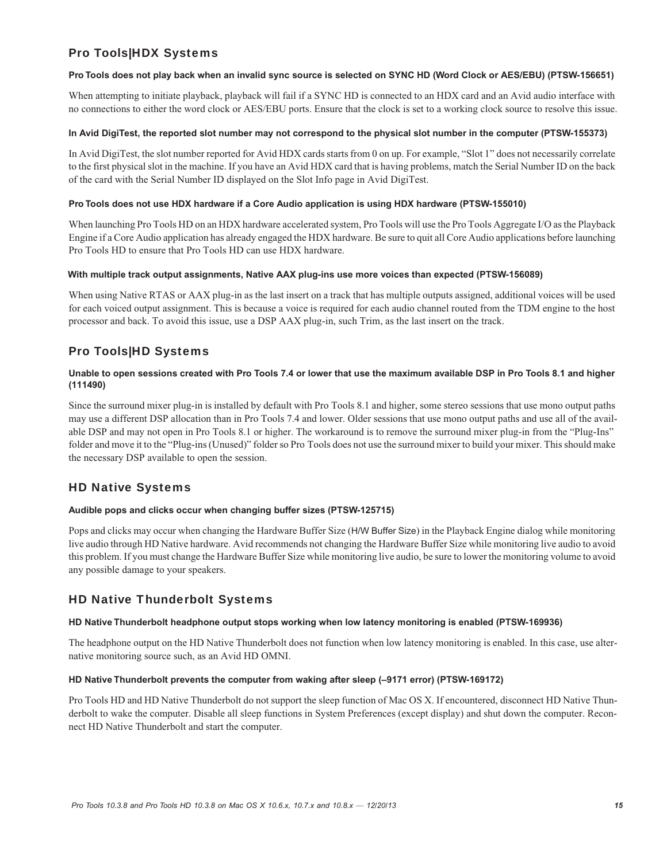# Pro Tools|HDX Systems

### **Pro Tools does not play back when an invalid sync source is selected on SYNC HD (Word Clock or AES/EBU) (PTSW-156651)**

When attempting to initiate playback, playback will fail if a SYNC HD is connected to an HDX card and an Avid audio interface with no connections to either the word clock or AES/EBU ports. Ensure that the clock is set to a working clock source to resolve this issue.

#### **In Avid DigiTest, the reported slot number may not correspond to the physical slot number in the computer (PTSW-155373)**

In Avid DigiTest, the slot number reported for Avid HDX cards starts from 0 on up. For example, "Slot 1" does not necessarily correlate to the first physical slot in the machine. If you have an Avid HDX card that is having problems, match the Serial Number ID on the back of the card with the Serial Number ID displayed on the Slot Info page in Avid DigiTest.

### **Pro Tools does not use HDX hardware if a Core Audio application is using HDX hardware (PTSW-155010)**

When launching Pro Tools HD on an HDX hardware accelerated system, Pro Tools will use the Pro Tools Aggregate I/O as the Playback Engine if a Core Audio application has already engaged the HDX hardware. Be sure to quit all Core Audio applications before launching Pro Tools HD to ensure that Pro Tools HD can use HDX hardware.

#### **With multiple track output assignments, Native AAX plug-ins use more voices than expected (PTSW-156089)**

When using Native RTAS or AAX plug-in as the last insert on a track that has multiple outputs assigned, additional voices will be used for each voiced output assignment. This is because a voice is required for each audio channel routed from the TDM engine to the host processor and back. To avoid this issue, use a DSP AAX plug-in, such Trim, as the last insert on the track.

# Pro Tools|HD Systems

# **Unable to open sessions created with Pro Tools 7.4 or lower that use the maximum available DSP in Pro Tools 8.1 and higher (111490)**

Since the surround mixer plug-in is installed by default with Pro Tools 8.1 and higher, some stereo sessions that use mono output paths may use a different DSP allocation than in Pro Tools 7.4 and lower. Older sessions that use mono output paths and use all of the available DSP and may not open in Pro Tools 8.1 or higher. The workaround is to remove the surround mixer plug-in from the "Plug-Ins" folder and move it to the "Plug-ins (Unused)" folder so Pro Tools does not use the surround mixer to build your mixer. This should make the necessary DSP available to open the session.

# HD Native Systems

# **Audible pops and clicks occur when changing buffer sizes (PTSW-125715)**

Pops and clicks may occur when changing the Hardware Buffer Size (H/W Buffer Size) in the Playback Engine dialog while monitoring live audio through HD Native hardware. Avid recommends not changing the Hardware Buffer Size while monitoring live audio to avoid this problem. If you must change the Hardware Buffer Size while monitoring live audio, be sure to lower the monitoring volume to avoid any possible damage to your speakers.

# HD Native Thunderbolt Systems

# **HD Native Thunderbolt headphone output stops working when low latency monitoring is enabled (PTSW-169936)**

The headphone output on the HD Native Thunderbolt does not function when low latency monitoring is enabled. In this case, use alternative monitoring source such, as an Avid HD OMNI.

#### **HD Native Thunderbolt prevents the computer from waking after sleep (–9171 error) (PTSW-169172)**

Pro Tools HD and HD Native Thunderbolt do not support the sleep function of Mac OS X. If encountered, disconnect HD Native Thunderbolt to wake the computer. Disable all sleep functions in System Preferences (except display) and shut down the computer. Reconnect HD Native Thunderbolt and start the computer.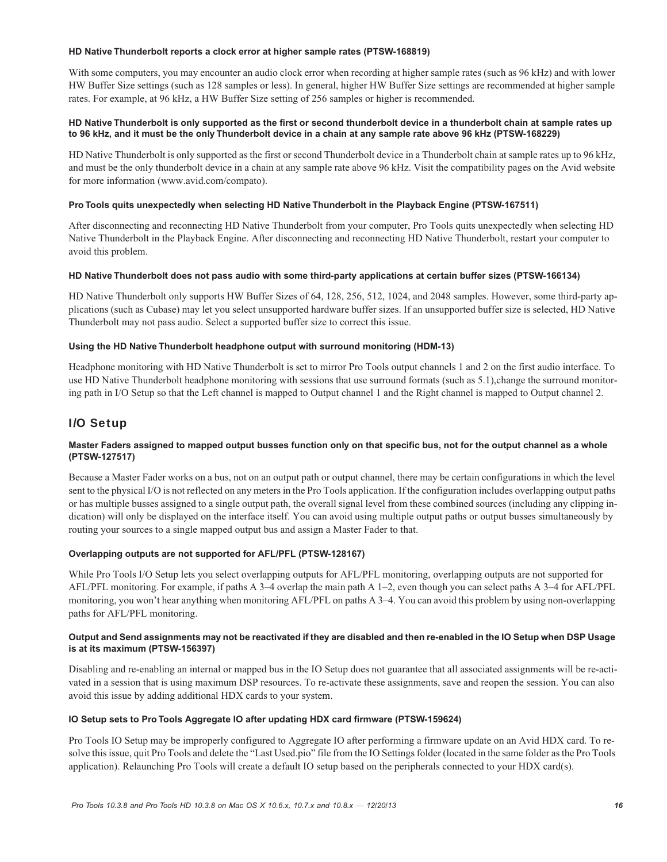#### **HD Native Thunderbolt reports a clock error at higher sample rates (PTSW-168819)**

With some computers, you may encounter an audio clock error when recording at higher sample rates (such as 96 kHz) and with lower HW Buffer Size settings (such as 128 samples or less). In general, higher HW Buffer Size settings are recommended at higher sample rates. For example, at 96 kHz, a HW Buffer Size setting of 256 samples or higher is recommended.

# **HD Native Thunderbolt is only supported as the first or second thunderbolt device in a thunderbolt chain at sample rates up to 96 kHz, and it must be the only Thunderbolt device in a chain at any sample rate above 96 kHz (PTSW-168229)**

HD Native Thunderbolt is only supported as the first or second Thunderbolt device in a Thunderbolt chain at sample rates up to 96 kHz, and must be the only thunderbolt device in a chain at any sample rate above 96 kHz. Visit the compatibility pages on the Avid website for more information (www.avid.com/compato).

### **Pro Tools quits unexpectedly when selecting HD Native Thunderbolt in the Playback Engine (PTSW-167511)**

After disconnecting and reconnecting HD Native Thunderbolt from your computer, Pro Tools quits unexpectedly when selecting HD Native Thunderbolt in the Playback Engine. After disconnecting and reconnecting HD Native Thunderbolt, restart your computer to avoid this problem.

#### **HD Native Thunderbolt does not pass audio with some third-party applications at certain buffer sizes (PTSW-166134)**

HD Native Thunderbolt only supports HW Buffer Sizes of 64, 128, 256, 512, 1024, and 2048 samples. However, some third-party applications (such as Cubase) may let you select unsupported hardware buffer sizes. If an unsupported buffer size is selected, HD Native Thunderbolt may not pass audio. Select a supported buffer size to correct this issue.

#### **Using the HD Native Thunderbolt headphone output with surround monitoring (HDM-13)**

Headphone monitoring with HD Native Thunderbolt is set to mirror Pro Tools output channels 1 and 2 on the first audio interface. To use HD Native Thunderbolt headphone monitoring with sessions that use surround formats (such as 5.1), change the surround monitoring path in I/O Setup so that the Left channel is mapped to Output channel 1 and the Right channel is mapped to Output channel 2.

# I/O Setup

# **Master Faders assigned to mapped output busses function only on that specific bus, not for the output channel as a whole (PTSW-127517)**

Because a Master Fader works on a bus, not on an output path or output channel, there may be certain configurations in which the level sent to the physical I/O is not reflected on any meters in the Pro Tools application. If the configuration includes overlapping output paths or has multiple busses assigned to a single output path, the overall signal level from these combined sources (including any clipping indication) will only be displayed on the interface itself. You can avoid using multiple output paths or output busses simultaneously by routing your sources to a single mapped output bus and assign a Master Fader to that.

#### **Overlapping outputs are not supported for AFL/PFL (PTSW-128167)**

While Pro Tools I/O Setup lets you select overlapping outputs for AFL/PFL monitoring, overlapping outputs are not supported for AFL/PFL monitoring. For example, if paths A 3–4 overlap the main path A 1–2, even though you can select paths A 3–4 for AFL/PFL monitoring, you won't hear anything when monitoring AFL/PFL on paths A 3–4. You can avoid this problem by using non-overlapping paths for AFL/PFL monitoring.

#### **Output and Send assignments may not be reactivated if they are disabled and then re-enabled in the IO Setup when DSP Usage is at its maximum (PTSW-156397)**

Disabling and re-enabling an internal or mapped bus in the IO Setup does not guarantee that all associated assignments will be re-activated in a session that is using maximum DSP resources. To re-activate these assignments, save and reopen the session. You can also avoid this issue by adding additional HDX cards to your system.

# **IO Setup sets to Pro Tools Aggregate IO after updating HDX card firmware (PTSW-159624)**

Pro Tools IO Setup may be improperly configured to Aggregate IO after performing a firmware update on an Avid HDX card. To resolve this issue, quit Pro Tools and delete the "Last Used.pio" file from the IO Settings folder (located in the same folder as the Pro Tools application). Relaunching Pro Tools will create a default IO setup based on the peripherals connected to your HDX card(s).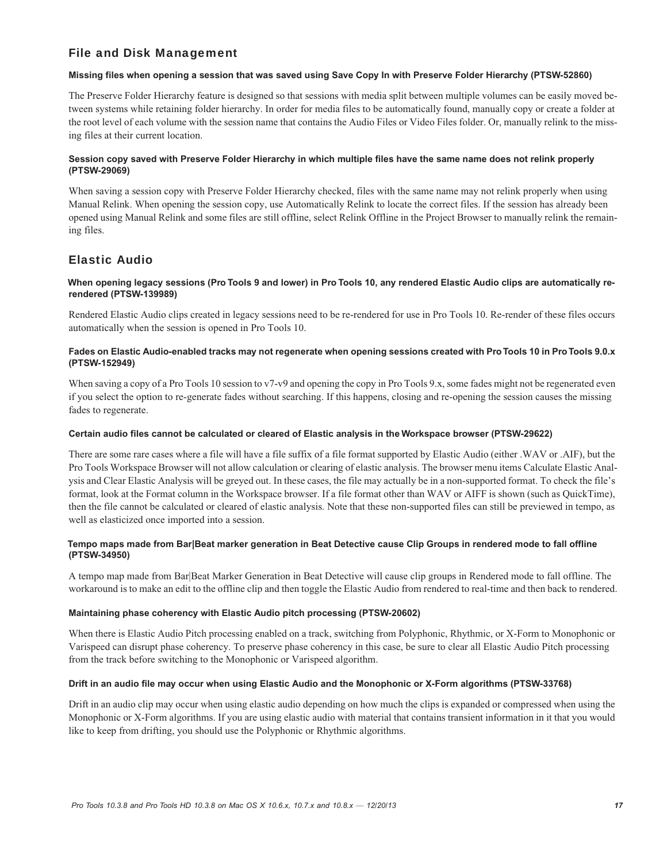# File and Disk Management

# **Missing files when opening a session that was saved using Save Copy In with Preserve Folder Hierarchy (PTSW-52860)**

The Preserve Folder Hierarchy feature is designed so that sessions with media split between multiple volumes can be easily moved between systems while retaining folder hierarchy. In order for media files to be automatically found, manually copy or create a folder at the root level of each volume with the session name that contains the Audio Files or Video Files folder. Or, manually relink to the missing files at their current location.

# **Session copy saved with Preserve Folder Hierarchy in which multiple files have the same name does not relink properly (PTSW-29069)**

When saving a session copy with Preserve Folder Hierarchy checked, files with the same name may not relink properly when using Manual Relink. When opening the session copy, use Automatically Relink to locate the correct files. If the session has already been opened using Manual Relink and some files are still offline, select Relink Offline in the Project Browser to manually relink the remaining files.

# Elastic Audio

# **When opening legacy sessions (Pro Tools 9 and lower) in Pro Tools 10, any rendered Elastic Audio clips are automatically rerendered (PTSW-139989)**

Rendered Elastic Audio clips created in legacy sessions need to be re-rendered for use in Pro Tools 10. Re-render of these files occurs automatically when the session is opened in Pro Tools 10.

# **Fades on Elastic Audio-enabled tracks may not regenerate when opening sessions created with Pro Tools 10 in Pro Tools 9.0.x (PTSW-152949)**

When saving a copy of a Pro Tools 10 session to v7-v9 and opening the copy in Pro Tools 9.x, some fades might not be regenerated even if you select the option to re-generate fades without searching. If this happens, closing and re-opening the session causes the missing fades to regenerate.

# **Certain audio files cannot be calculated or cleared of Elastic analysis in the Workspace browser (PTSW-29622)**

There are some rare cases where a file will have a file suffix of a file format supported by Elastic Audio (either .WAV or .AIF), but the Pro Tools Workspace Browser will not allow calculation or clearing of elastic analysis. The browser menu items Calculate Elastic Analysis and Clear Elastic Analysis will be greyed out. In these cases, the file may actually be in a non-supported format. To check the file's format, look at the Format column in the Workspace browser. If a file format other than WAV or AIFF is shown (such as QuickTime), then the file cannot be calculated or cleared of elastic analysis. Note that these non-supported files can still be previewed in tempo, as well as elasticized once imported into a session.

# **Tempo maps made from Bar|Beat marker generation in Beat Detective cause Clip Groups in rendered mode to fall offline (PTSW-34950)**

A tempo map made from Bar|Beat Marker Generation in Beat Detective will cause clip groups in Rendered mode to fall offline. The workaround is to make an edit to the offline clip and then toggle the Elastic Audio from rendered to real-time and then back to rendered.

# **Maintaining phase coherency with Elastic Audio pitch processing (PTSW-20602)**

When there is Elastic Audio Pitch processing enabled on a track, switching from Polyphonic, Rhythmic, or X-Form to Monophonic or Varispeed can disrupt phase coherency. To preserve phase coherency in this case, be sure to clear all Elastic Audio Pitch processing from the track before switching to the Monophonic or Varispeed algorithm.

# **Drift in an audio file may occur when using Elastic Audio and the Monophonic or X-Form algorithms (PTSW-33768)**

Drift in an audio clip may occur when using elastic audio depending on how much the clips is expanded or compressed when using the Monophonic or X-Form algorithms. If you are using elastic audio with material that contains transient information in it that you would like to keep from drifting, you should use the Polyphonic or Rhythmic algorithms.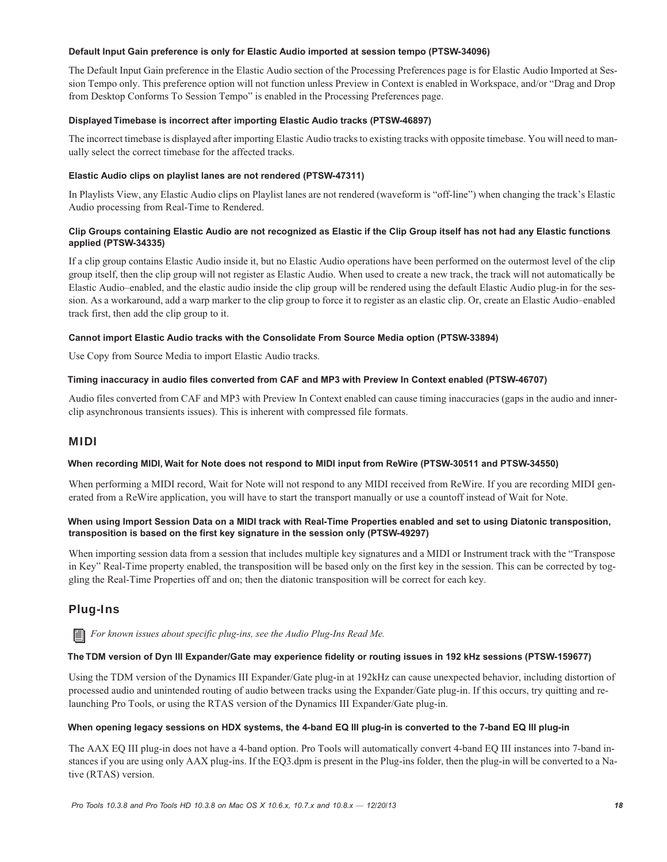### **Default Input Gain preference is only for Elastic Audio imported at session tempo (PTSW-34096)**

The Default Input Gain preference in the Elastic Audio section of the Processing Preferences page is for Elastic Audio Imported at Session Tempo only. This preference option will not function unless Preview in Context is enabled in Workspace, and/or "Drag and Drop from Desktop Conforms To Session Tempo" is enabled in the Processing Preferences page.

# **Displayed Timebase is incorrect after importing Elastic Audio tracks (PTSW-46897)**

The incorrect timebase is displayed after importing Elastic Audio tracks to existing tracks with opposite timebase. You will need to manually select the correct timebase for the affected tracks.

### **Elastic Audio clips on playlist lanes are not rendered (PTSW-47311)**

In Playlists View, any Elastic Audio clips on Playlist lanes are not rendered (waveform is "off-line") when changing the track's Elastic Audio processing from Real-Time to Rendered.

### **Clip Groups containing Elastic Audio are not recognized as Elastic if the Clip Group itself has not had any Elastic functions applied (PTSW-34335)**

If a clip group contains Elastic Audio inside it, but no Elastic Audio operations have been performed on the outermost level of the clip group itself, then the clip group will not register as Elastic Audio. When used to create a new track, the track will not automatically be Elastic Audio–enabled, and the elastic audio inside the clip group will be rendered using the default Elastic Audio plug-in for the session. As a workaround, add a warp marker to the clip group to force it to register as an elastic clip. Or, create an Elastic Audio–enabled track first, then add the clip group to it.

#### **Cannot import Elastic Audio tracks with the Consolidate From Source Media option (PTSW-33894)**

Use Copy from Source Media to import Elastic Audio tracks.

### **Timing inaccuracy in audio files converted from CAF and MP3 with Preview In Context enabled (PTSW-46707)**

Audio files converted from CAF and MP3 with Preview In Context enabled can cause timing inaccuracies (gaps in the audio and innerclip asynchronous transients issues). This is inherent with compressed file formats.

# MIDI

#### **When recording MIDI, Wait for Note does not respond to MIDI input from ReWire (PTSW-30511 and PTSW-34550)**

When performing a MIDI record, Wait for Note will not respond to any MIDI received from ReWire. If you are recording MIDI generated from a ReWire application, you will have to start the transport manually or use a countoff instead of Wait for Note.

# **When using Import Session Data on a MIDI track with Real-Time Properties enabled and set to using Diatonic transposition, transposition is based on the first key signature in the session only (PTSW-49297)**

When importing session data from a session that includes multiple key signatures and a MIDI or Instrument track with the "Transpose in Key" Real-Time property enabled, the transposition will be based only on the first key in the session. This can be corrected by toggling the Real-Time Properties off and on; then the diatonic transposition will be correct for each key.

# Plug-Ins

*For known issues about specific plug-ins, see the Audio Plug-Ins Read Me.*

#### **The TDM version of Dyn III Expander/Gate may experience fidelity or routing issues in 192 kHz sessions (PTSW-159677)**

Using the TDM version of the Dynamics III Expander/Gate plug-in at 192kHz can cause unexpected behavior, including distortion of processed audio and unintended routing of audio between tracks using the Expander/Gate plug-in. If this occurs, try quitting and relaunching Pro Tools, or using the RTAS version of the Dynamics III Expander/Gate plug-in.

#### **When opening legacy sessions on HDX systems, the 4-band EQ III plug-in is converted to the 7-band EQ III plug-in**

The AAX EQ III plug-in does not have a 4-band option. Pro Tools will automatically convert 4-band EQ III instances into 7-band instances if you are using only AAX plug-ins. If the EQ3.dpm is present in the Plug-ins folder, then the plug-in will be converted to a Native (RTAS) version.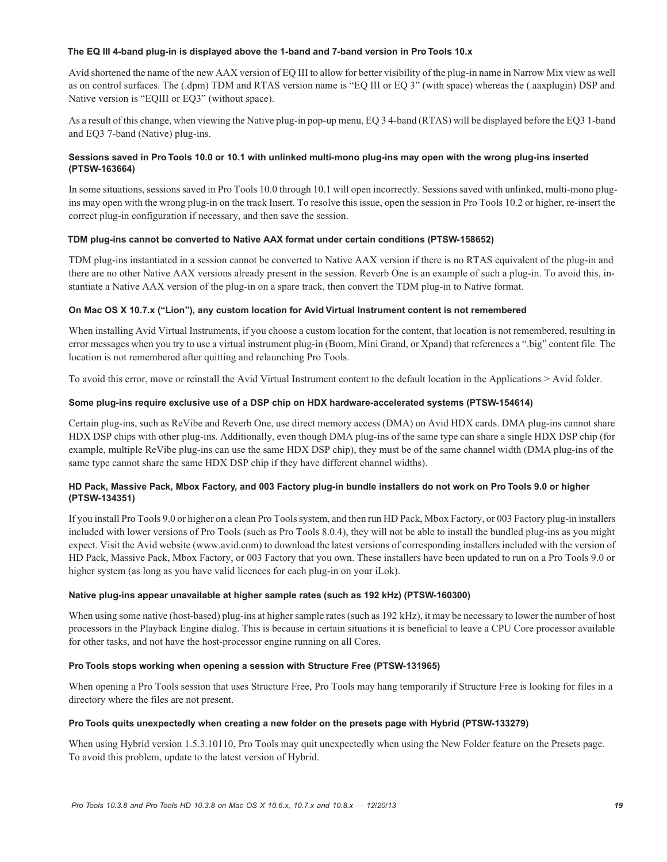#### **The EQ III 4-band plug-in is displayed above the 1-band and 7-band version in Pro Tools 10.x**

Avid shortened the name of the new AAX version of EQ III to allow for better visibility of the plug-in name in Narrow Mix view as well as on control surfaces. The (.dpm) TDM and RTAS version name is "EQ III or EQ 3" (with space) whereas the (.aaxplugin) DSP and Native version is "EQIII or EQ3" (without space).

As a result of this change, when viewing the Native plug-in pop-up menu, EQ 3 4-band (RTAS) will be displayed before the EQ3 1-band and EQ3 7-band (Native) plug-ins.

# **Sessions saved in Pro Tools 10.0 or 10.1 with unlinked multi-mono plug-ins may open with the wrong plug-ins inserted (PTSW-163664)**

In some situations, sessions saved in Pro Tools 10.0 through 10.1 will open incorrectly. Sessions saved with unlinked, multi-mono plugins may open with the wrong plug-in on the track Insert. To resolve this issue, open the session in Pro Tools 10.2 or higher, re-insert the correct plug-in configuration if necessary, and then save the session.

# **TDM plug-ins cannot be converted to Native AAX format under certain conditions (PTSW-158652)**

TDM plug-ins instantiated in a session cannot be converted to Native AAX version if there is no RTAS equivalent of the plug-in and there are no other Native AAX versions already present in the session. Reverb One is an example of such a plug-in. To avoid this, instantiate a Native AAX version of the plug-in on a spare track, then convert the TDM plug-in to Native format.

# **On Mac OS X 10.7.x ("Lion"), any custom location for Avid Virtual Instrument content is not remembered**

When installing Avid Virtual Instruments, if you choose a custom location for the content, that location is not remembered, resulting in error messages when you try to use a virtual instrument plug-in (Boom, Mini Grand, or Xpand) that references a ".big" content file. The location is not remembered after quitting and relaunching Pro Tools.

To avoid this error, move or reinstall the Avid Virtual Instrument content to the default location in the Applications > Avid folder.

# **Some plug-ins require exclusive use of a DSP chip on HDX hardware-accelerated systems (PTSW-154614)**

Certain plug-ins, such as ReVibe and Reverb One, use direct memory access (DMA) on Avid HDX cards. DMA plug-ins cannot share HDX DSP chips with other plug-ins. Additionally, even though DMA plug-ins of the same type can share a single HDX DSP chip (for example, multiple ReVibe plug-ins can use the same HDX DSP chip), they must be of the same channel width (DMA plug-ins of the same type cannot share the same HDX DSP chip if they have different channel widths).

# **HD Pack, Massive Pack, Mbox Factory, and 003 Factory plug-in bundle installers do not work on Pro Tools 9.0 or higher (PTSW-134351)**

If you install Pro Tools 9.0 or higher on a clean Pro Tools system, and then run HD Pack, Mbox Factory, or 003 Factory plug-in installers included with lower versions of Pro Tools (such as Pro Tools 8.0.4), they will not be able to install the bundled plug-ins as you might expect. Visit the Avid website (www.avid.com) to download the latest versions of corresponding installers included with the version of HD Pack, Massive Pack, Mbox Factory, or 003 Factory that you own. These installers have been updated to run on a Pro Tools 9.0 or higher system (as long as you have valid licences for each plug-in on your iLok).

# **Native plug-ins appear unavailable at higher sample rates (such as 192 kHz) (PTSW-160300)**

When using some native (host-based) plug-ins at higher sample rates (such as 192 kHz), it may be necessary to lower the number of host processors in the Playback Engine dialog. This is because in certain situations it is beneficial to leave a CPU Core processor available for other tasks, and not have the host-processor engine running on all Cores.

# **Pro Tools stops working when opening a session with Structure Free (PTSW-131965)**

When opening a Pro Tools session that uses Structure Free, Pro Tools may hang temporarily if Structure Free is looking for files in a directory where the files are not present.

# **Pro Tools quits unexpectedly when creating a new folder on the presets page with Hybrid (PTSW-133279)**

When using Hybrid version 1.5.3.10110, Pro Tools may quit unexpectedly when using the New Folder feature on the Presets page. To avoid this problem, update to the latest version of Hybrid.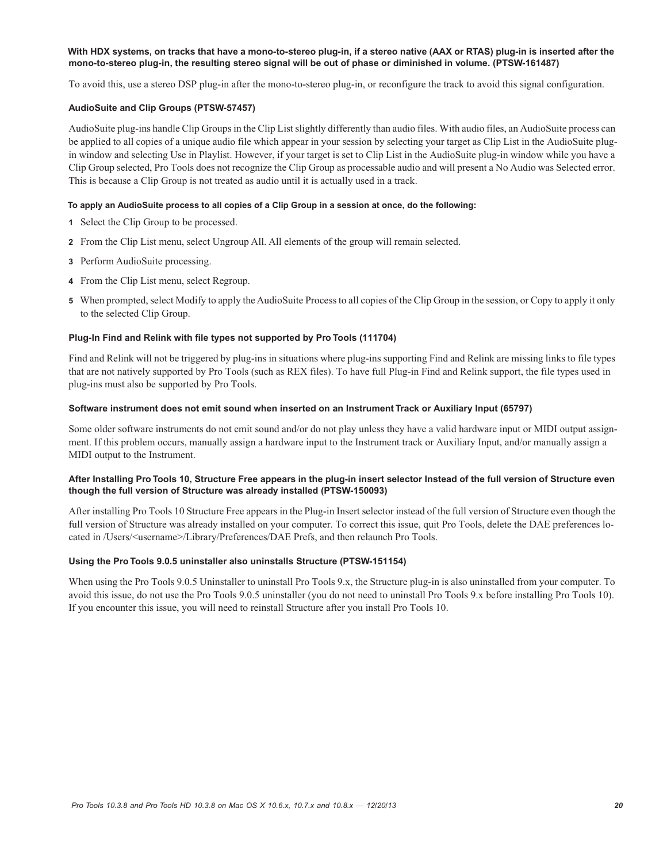### **With HDX systems, on tracks that have a mono-to-stereo plug-in, if a stereo native (AAX or RTAS) plug-in is inserted after the mono-to-stereo plug-in, the resulting stereo signal will be out of phase or diminished in volume. (PTSW-161487)**

To avoid this, use a stereo DSP plug-in after the mono-to-stereo plug-in, or reconfigure the track to avoid this signal configuration.

#### **AudioSuite and Clip Groups (PTSW-57457)**

AudioSuite plug-ins handle Clip Groups in the Clip List slightly differently than audio files. With audio files, an AudioSuite process can be applied to all copies of a unique audio file which appear in your session by selecting your target as Clip List in the AudioSuite plugin window and selecting Use in Playlist. However, if your target is set to Clip List in the AudioSuite plug-in window while you have a Clip Group selected, Pro Tools does not recognize the Clip Group as processable audio and will present a No Audio was Selected error. This is because a Clip Group is not treated as audio until it is actually used in a track.

#### **To apply an AudioSuite process to all copies of a Clip Group in a session at once, do the following:**

- **1** Select the Clip Group to be processed.
- **2** From the Clip List menu, select Ungroup All. All elements of the group will remain selected.
- **3** Perform AudioSuite processing.
- **4** From the Clip List menu, select Regroup.
- **5** When prompted, select Modify to apply the AudioSuite Process to all copies of the Clip Group in the session, or Copy to apply it only to the selected Clip Group.

#### **Plug-In Find and Relink with file types not supported by Pro Tools (111704)**

Find and Relink will not be triggered by plug-ins in situations where plug-ins supporting Find and Relink are missing links to file types that are not natively supported by Pro Tools (such as REX files). To have full Plug-in Find and Relink support, the file types used in plug-ins must also be supported by Pro Tools.

#### **Software instrument does not emit sound when inserted on an Instrument Track or Auxiliary Input (65797)**

Some older software instruments do not emit sound and/or do not play unless they have a valid hardware input or MIDI output assignment. If this problem occurs, manually assign a hardware input to the Instrument track or Auxiliary Input, and/or manually assign a MIDI output to the Instrument.

#### **After Installing Pro Tools 10, Structure Free appears in the plug-in insert selector Instead of the full version of Structure even though the full version of Structure was already installed (PTSW-150093)**

After installing Pro Tools 10 Structure Free appears in the Plug-in Insert selector instead of the full version of Structure even though the full version of Structure was already installed on your computer. To correct this issue, quit Pro Tools, delete the DAE preferences located in /Users/<username>/Library/Preferences/DAE Prefs, and then relaunch Pro Tools.

#### **Using the Pro Tools 9.0.5 uninstaller also uninstalls Structure (PTSW-151154)**

When using the Pro Tools 9.0.5 Uninstaller to uninstall Pro Tools 9.x, the Structure plug-in is also uninstalled from your computer. To avoid this issue, do not use the Pro Tools 9.0.5 uninstaller (you do not need to uninstall Pro Tools 9.x before installing Pro Tools 10). If you encounter this issue, you will need to reinstall Structure after you install Pro Tools 10.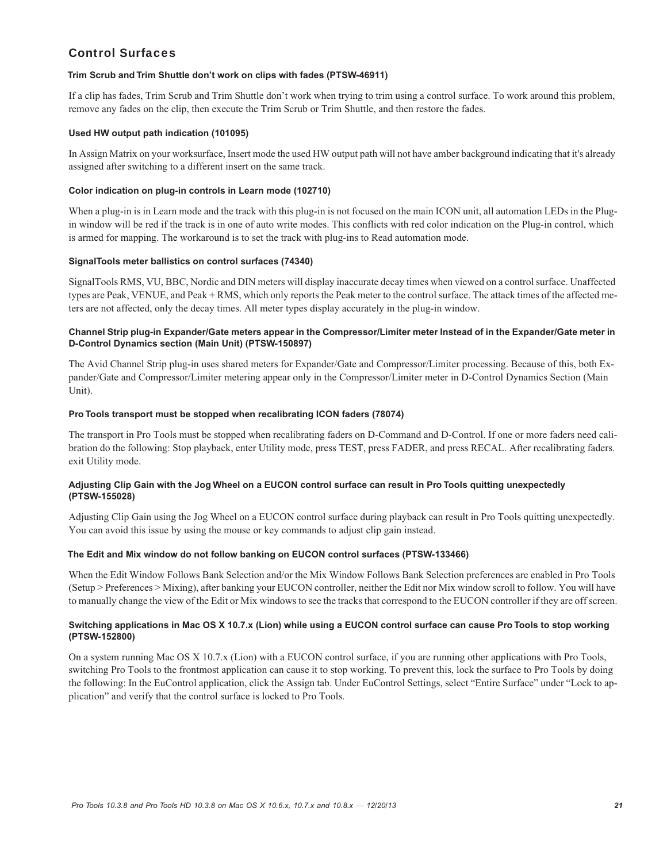# Control Surfaces

#### **Trim Scrub and Trim Shuttle don't work on clips with fades (PTSW-46911)**

If a clip has fades, Trim Scrub and Trim Shuttle don't work when trying to trim using a control surface. To work around this problem, remove any fades on the clip, then execute the Trim Scrub or Trim Shuttle, and then restore the fades.

### **Used HW output path indication (101095)**

In Assign Matrix on your worksurface, Insert mode the used HW output path will not have amber background indicating that it's already assigned after switching to a different insert on the same track.

### **Color indication on plug-in controls in Learn mode (102710)**

When a plug-in is in Learn mode and the track with this plug-in is not focused on the main ICON unit, all automation LEDs in the Plugin window will be red if the track is in one of auto write modes. This conflicts with red color indication on the Plug-in control, which is armed for mapping. The workaround is to set the track with plug-ins to Read automation mode.

#### **SignalTools meter ballistics on control surfaces (74340)**

SignalTools RMS, VU, BBC, Nordic and DIN meters will display inaccurate decay times when viewed on a control surface. Unaffected types are Peak, VENUE, and Peak + RMS, which only reports the Peak meter to the control surface. The attack times of the affected meters are not affected, only the decay times. All meter types display accurately in the plug-in window.

# **Channel Strip plug-in Expander/Gate meters appear in the Compressor/Limiter meter Instead of in the Expander/Gate meter in D-Control Dynamics section (Main Unit) (PTSW-150897)**

The Avid Channel Strip plug-in uses shared meters for Expander/Gate and Compressor/Limiter processing. Because of this, both Expander/Gate and Compressor/Limiter metering appear only in the Compressor/Limiter meter in D-Control Dynamics Section (Main Unit).

#### **Pro Tools transport must be stopped when recalibrating ICON faders (78074)**

The transport in Pro Tools must be stopped when recalibrating faders on D-Command and D-Control. If one or more faders need calibration do the following: Stop playback, enter Utility mode, press TEST, press FADER, and press RECAL. After recalibrating faders. exit Utility mode.

# **Adjusting Clip Gain with the Jog Wheel on a EUCON control surface can result in Pro Tools quitting unexpectedly (PTSW-155028)**

Adjusting Clip Gain using the Jog Wheel on a EUCON control surface during playback can result in Pro Tools quitting unexpectedly. You can avoid this issue by using the mouse or key commands to adjust clip gain instead.

# **The Edit and Mix window do not follow banking on EUCON control surfaces (PTSW-133466)**

When the Edit Window Follows Bank Selection and/or the Mix Window Follows Bank Selection preferences are enabled in Pro Tools (Setup > Preferences > Mixing), after banking your EUCON controller, neither the Edit nor Mix window scroll to follow. You will have to manually change the view of the Edit or Mix windows to see the tracks that correspond to the EUCON controller if they are off screen.

# **Switching applications in Mac OS X 10.7.x (Lion) while using a EUCON control surface can cause Pro Tools to stop working (PTSW-152800)**

On a system running Mac OS X 10.7.x (Lion) with a EUCON control surface, if you are running other applications with Pro Tools, switching Pro Tools to the frontmost application can cause it to stop working. To prevent this, lock the surface to Pro Tools by doing the following: In the EuControl application, click the Assign tab. Under EuControl Settings, select "Entire Surface" under "Lock to application" and verify that the control surface is locked to Pro Tools.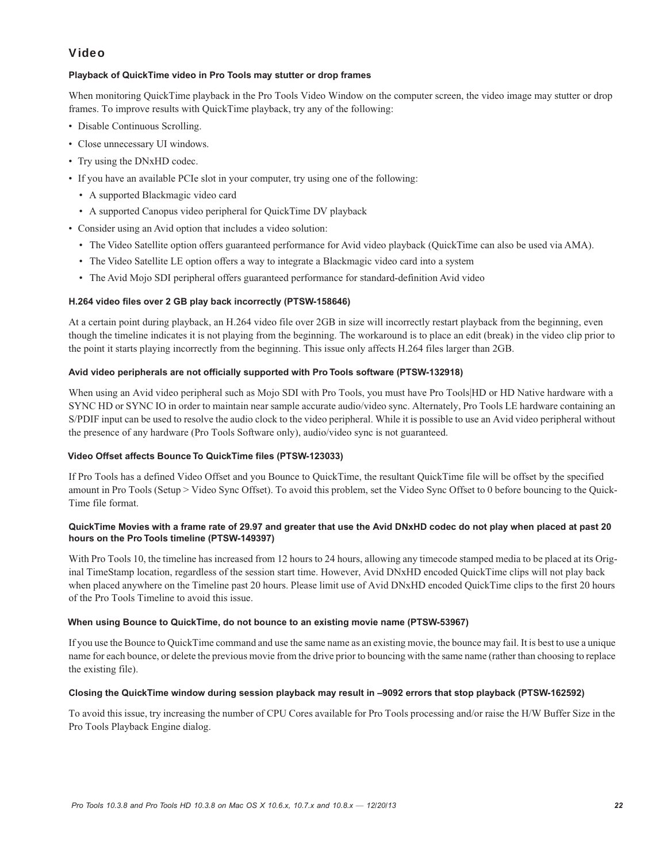# Video

# **Playback of QuickTime video in Pro Tools may stutter or drop frames**

When monitoring QuickTime playback in the Pro Tools Video Window on the computer screen, the video image may stutter or drop frames. To improve results with QuickTime playback, try any of the following:

- Disable Continuous Scrolling.
- Close unnecessary UI windows.
- Try using the DNxHD codec.
- If you have an available PCIe slot in your computer, try using one of the following:
	- A supported Blackmagic video card
	- A supported Canopus video peripheral for QuickTime DV playback
- Consider using an Avid option that includes a video solution:
	- The Video Satellite option offers guaranteed performance for Avid video playback (QuickTime can also be used via AMA).
	- The Video Satellite LE option offers a way to integrate a Blackmagic video card into a system
	- The Avid Mojo SDI peripheral offers guaranteed performance for standard-definition Avid video

# **H.264 video files over 2 GB play back incorrectly (PTSW-158646)**

At a certain point during playback, an H.264 video file over 2GB in size will incorrectly restart playback from the beginning, even though the timeline indicates it is not playing from the beginning. The workaround is to place an edit (break) in the video clip prior to the point it starts playing incorrectly from the beginning. This issue only affects H.264 files larger than 2GB.

# **Avid video peripherals are not officially supported with Pro Tools software (PTSW-132918)**

When using an Avid video peripheral such as Mojo SDI with Pro Tools, you must have Pro Tools|HD or HD Native hardware with a SYNC HD or SYNC IO in order to maintain near sample accurate audio/video sync. Alternately, Pro Tools LE hardware containing an S/PDIF input can be used to resolve the audio clock to the video peripheral. While it is possible to use an Avid video peripheral without the presence of any hardware (Pro Tools Software only), audio/video sync is not guaranteed.

# **Video Offset affects Bounce To QuickTime files (PTSW-123033)**

If Pro Tools has a defined Video Offset and you Bounce to QuickTime, the resultant QuickTime file will be offset by the specified amount in Pro Tools (Setup > Video Sync Offset). To avoid this problem, set the Video Sync Offset to 0 before bouncing to the Quick-Time file format.

# **QuickTime Movies with a frame rate of 29.97 and greater that use the Avid DNxHD codec do not play when placed at past 20 hours on the Pro Tools timeline (PTSW-149397)**

With Pro Tools 10, the timeline has increased from 12 hours to 24 hours, allowing any timecode stamped media to be placed at its Original TimeStamp location, regardless of the session start time. However, Avid DNxHD encoded QuickTime clips will not play back when placed anywhere on the Timeline past 20 hours. Please limit use of Avid DNxHD encoded QuickTime clips to the first 20 hours of the Pro Tools Timeline to avoid this issue.

# **When using Bounce to QuickTime, do not bounce to an existing movie name (PTSW-53967)**

If you use the Bounce to QuickTime command and use the same name as an existing movie, the bounce may fail. It is best to use a unique name for each bounce, or delete the previous movie from the drive prior to bouncing with the same name (rather than choosing to replace the existing file).

# **Closing the QuickTime window during session playback may result in –9092 errors that stop playback (PTSW-162592)**

To avoid this issue, try increasing the number of CPU Cores available for Pro Tools processing and/or raise the H/W Buffer Size in the Pro Tools Playback Engine dialog.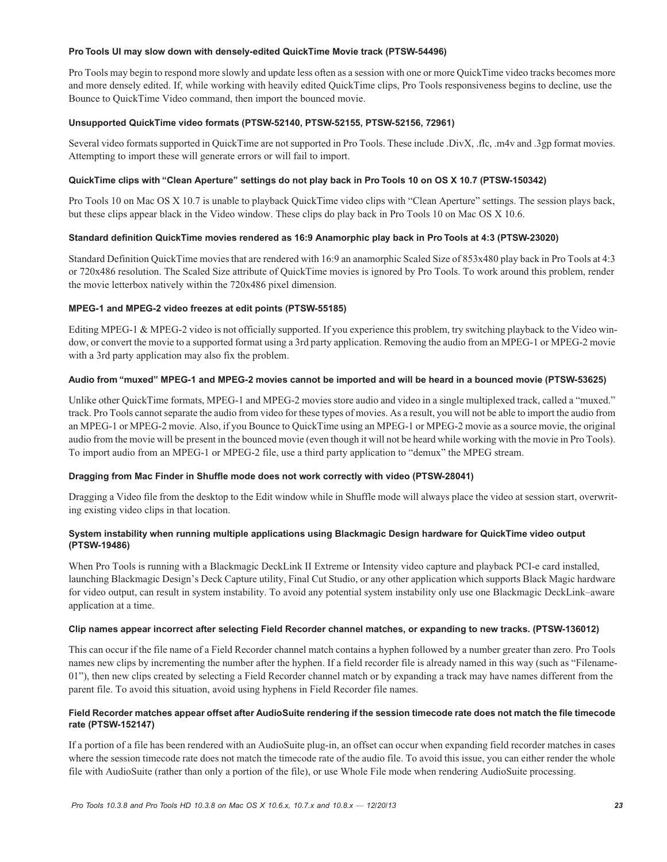#### **Pro Tools UI may slow down with densely-edited QuickTime Movie track (PTSW-54496)**

Pro Tools may begin to respond more slowly and update less often as a session with one or more QuickTime video tracks becomes more and more densely edited. If, while working with heavily edited QuickTime clips, Pro Tools responsiveness begins to decline, use the Bounce to QuickTime Video command, then import the bounced movie.

# **Unsupported QuickTime video formats (PTSW-52140, PTSW-52155, PTSW-52156, 72961)**

Several video formats supported in QuickTime are not supported in Pro Tools. These include .DivX, .flc, .m4v and .3gp format movies. Attempting to import these will generate errors or will fail to import.

# **QuickTime clips with "Clean Aperture" settings do not play back in Pro Tools 10 on OS X 10.7 (PTSW-150342)**

Pro Tools 10 on Mac OS X 10.7 is unable to playback QuickTime video clips with "Clean Aperture" settings. The session plays back, but these clips appear black in the Video window. These clips do play back in Pro Tools 10 on Mac OS X 10.6.

#### **Standard definition QuickTime movies rendered as 16:9 Anamorphic play back in Pro Tools at 4:3 (PTSW-23020)**

Standard Definition QuickTime movies that are rendered with 16:9 an anamorphic Scaled Size of 853x480 play back in Pro Tools at 4:3 or 720x486 resolution. The Scaled Size attribute of QuickTime movies is ignored by Pro Tools. To work around this problem, render the movie letterbox natively within the 720x486 pixel dimension.

#### **MPEG-1 and MPEG-2 video freezes at edit points (PTSW-55185)**

Editing MPEG-1 & MPEG-2 video is not officially supported. If you experience this problem, try switching playback to the Video window, or convert the movie to a supported format using a 3rd party application. Removing the audio from an MPEG-1 or MPEG-2 movie with a 3rd party application may also fix the problem.

#### **Audio from "muxed" MPEG-1 and MPEG-2 movies cannot be imported and will be heard in a bounced movie (PTSW-53625)**

Unlike other QuickTime formats, MPEG-1 and MPEG-2 movies store audio and video in a single multiplexed track, called a "muxed." track. Pro Tools cannot separate the audio from video for these types of movies. As a result, you will not be able to import the audio from an MPEG-1 or MPEG-2 movie. Also, if you Bounce to QuickTime using an MPEG-1 or MPEG-2 movie as a source movie, the original audio from the movie will be present in the bounced movie (even though it will not be heard while working with the movie in Pro Tools). To import audio from an MPEG-1 or MPEG-2 file, use a third party application to "demux" the MPEG stream.

# **Dragging from Mac Finder in Shuffle mode does not work correctly with video (PTSW-28041)**

Dragging a Video file from the desktop to the Edit window while in Shuffle mode will always place the video at session start, overwriting existing video clips in that location.

# **System instability when running multiple applications using Blackmagic Design hardware for QuickTime video output (PTSW-19486)**

When Pro Tools is running with a Blackmagic DeckLink II Extreme or Intensity video capture and playback PCI-e card installed, launching Blackmagic Design's Deck Capture utility, Final Cut Studio, or any other application which supports Black Magic hardware for video output, can result in system instability. To avoid any potential system instability only use one Blackmagic DeckLink–aware application at a time.

#### **Clip names appear incorrect after selecting Field Recorder channel matches, or expanding to new tracks. (PTSW-136012)**

This can occur if the file name of a Field Recorder channel match contains a hyphen followed by a number greater than zero. Pro Tools names new clips by incrementing the number after the hyphen. If a field recorder file is already named in this way (such as "Filename-01"), then new clips created by selecting a Field Recorder channel match or by expanding a track may have names different from the parent file. To avoid this situation, avoid using hyphens in Field Recorder file names.

# **Field Recorder matches appear offset after AudioSuite rendering if the session timecode rate does not match the file timecode rate (PTSW-152147)**

If a portion of a file has been rendered with an AudioSuite plug-in, an offset can occur when expanding field recorder matches in cases where the session timecode rate does not match the timecode rate of the audio file. To avoid this issue, you can either render the whole file with AudioSuite (rather than only a portion of the file), or use Whole File mode when rendering AudioSuite processing.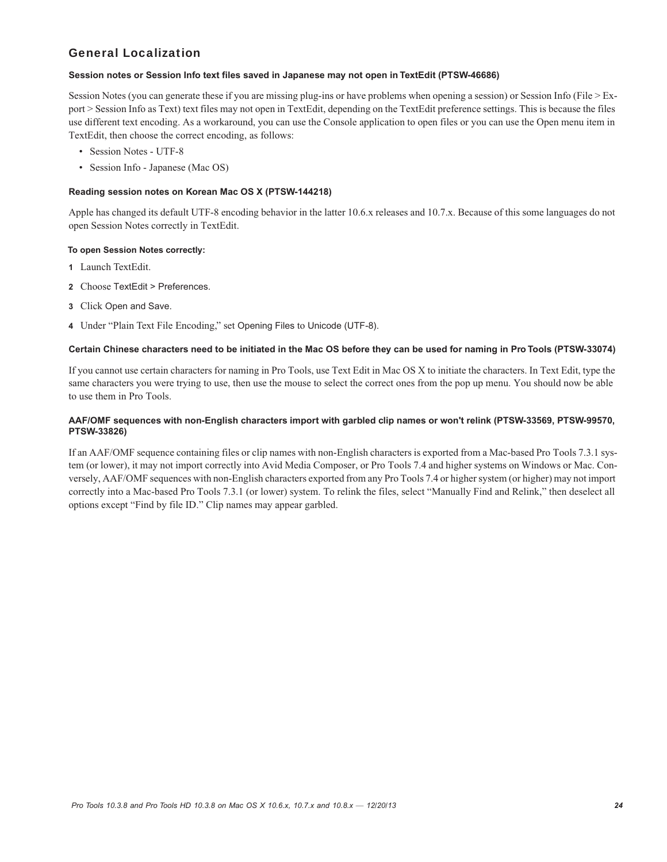# General Localization

### **Session notes or Session Info text files saved in Japanese may not open in TextEdit (PTSW-46686)**

Session Notes (you can generate these if you are missing plug-ins or have problems when opening a session) or Session Info (File > Export > Session Info as Text) text files may not open in TextEdit, depending on the TextEdit preference settings. This is because the files use different text encoding. As a workaround, you can use the Console application to open files or you can use the Open menu item in TextEdit, then choose the correct encoding, as follows:

- Session Notes UTF-8
- Session Info Japanese (Mac OS)

# **Reading session notes on Korean Mac OS X (PTSW-144218)**

Apple has changed its default UTF-8 encoding behavior in the latter 10.6.x releases and 10.7.x. Because of this some languages do not open Session Notes correctly in TextEdit.

# **To open Session Notes correctly:**

- **1** Launch TextEdit.
- **2** Choose TextEdit > Preferences.
- **3** Click Open and Save.
- **4** Under "Plain Text File Encoding," set Opening Files to Unicode (UTF-8).

#### **Certain Chinese characters need to be initiated in the Mac OS before they can be used for naming in Pro Tools (PTSW-33074)**

If you cannot use certain characters for naming in Pro Tools, use Text Edit in Mac OS X to initiate the characters. In Text Edit, type the same characters you were trying to use, then use the mouse to select the correct ones from the pop up menu. You should now be able to use them in Pro Tools.

# **AAF/OMF sequences with non-English characters import with garbled clip names or won't relink (PTSW-33569, PTSW-99570, PTSW-33826)**

If an AAF/OMF sequence containing files or clip names with non-English characters is exported from a Mac-based Pro Tools 7.3.1 system (or lower), it may not import correctly into Avid Media Composer, or Pro Tools 7.4 and higher systems on Windows or Mac. Conversely, AAF/OMF sequences with non-English characters exported from any Pro Tools 7.4 or higher system (or higher) may not import correctly into a Mac-based Pro Tools 7.3.1 (or lower) system. To relink the files, select "Manually Find and Relink," then deselect all options except "Find by file ID." Clip names may appear garbled.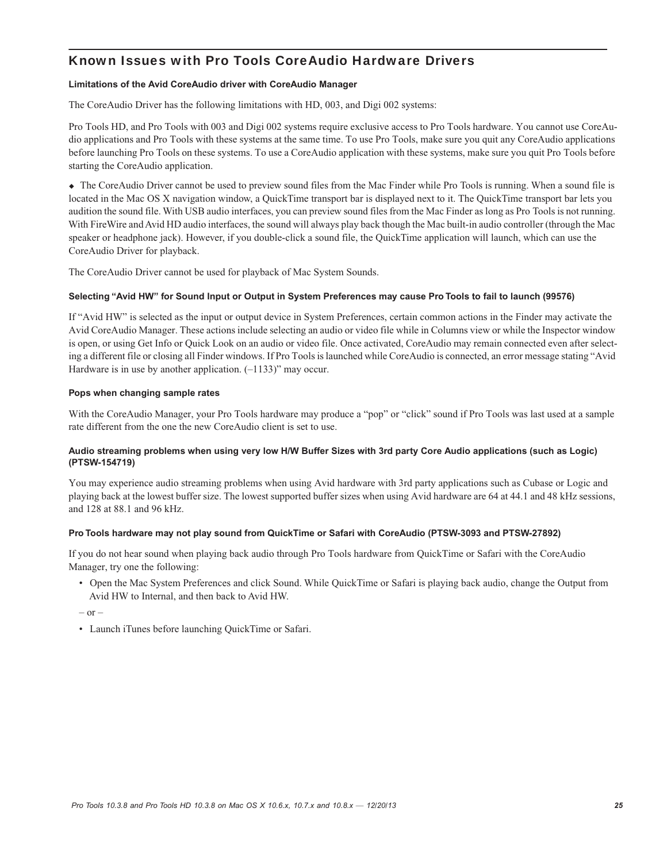# Known Issues with Pro Tools CoreAudio Hardware Drivers

# **Limitations of the Avid CoreAudio driver with CoreAudio Manager**

The CoreAudio Driver has the following limitations with HD, 003, and Digi 002 systems:

Pro Tools HD, and Pro Tools with 003 and Digi 002 systems require exclusive access to Pro Tools hardware. You cannot use CoreAudio applications and Pro Tools with these systems at the same time. To use Pro Tools, make sure you quit any CoreAudio applications before launching Pro Tools on these systems. To use a CoreAudio application with these systems, make sure you quit Pro Tools before starting the CoreAudio application.

 The CoreAudio Driver cannot be used to preview sound files from the Mac Finder while Pro Tools is running. When a sound file is located in the Mac OS X navigation window, a QuickTime transport bar is displayed next to it. The QuickTime transport bar lets you audition the sound file. With USB audio interfaces, you can preview sound files from the Mac Finder as long as Pro Tools is not running. With FireWire and Avid HD audio interfaces, the sound will always play back though the Mac built-in audio controller (through the Mac speaker or headphone jack). However, if you double-click a sound file, the QuickTime application will launch, which can use the CoreAudio Driver for playback.

The CoreAudio Driver cannot be used for playback of Mac System Sounds.

# **Selecting "Avid HW" for Sound Input or Output in System Preferences may cause Pro Tools to fail to launch (99576)**

If "Avid HW" is selected as the input or output device in System Preferences, certain common actions in the Finder may activate the Avid CoreAudio Manager. These actions include selecting an audio or video file while in Columns view or while the Inspector window is open, or using Get Info or Quick Look on an audio or video file. Once activated, CoreAudio may remain connected even after selecting a different file or closing all Finder windows. If Pro Tools is launched while CoreAudio is connected, an error message stating "Avid Hardware is in use by another application.  $(-1133)$ " may occur.

# **Pops when changing sample rates**

With the CoreAudio Manager, your Pro Tools hardware may produce a "pop" or "click" sound if Pro Tools was last used at a sample rate different from the one the new CoreAudio client is set to use.

# **Audio streaming problems when using very low H/W Buffer Sizes with 3rd party Core Audio applications (such as Logic) (PTSW-154719)**

You may experience audio streaming problems when using Avid hardware with 3rd party applications such as Cubase or Logic and playing back at the lowest buffer size. The lowest supported buffer sizes when using Avid hardware are 64 at 44.1 and 48 kHz sessions, and 128 at 88.1 and 96 kHz.

# **Pro Tools hardware may not play sound from QuickTime or Safari with CoreAudio (PTSW-3093 and PTSW-27892)**

If you do not hear sound when playing back audio through Pro Tools hardware from QuickTime or Safari with the CoreAudio Manager, try one the following:

• Open the Mac System Preferences and click Sound. While QuickTime or Safari is playing back audio, change the Output from Avid HW to Internal, and then back to Avid HW.

 $-$  or  $-$ 

• Launch iTunes before launching QuickTime or Safari.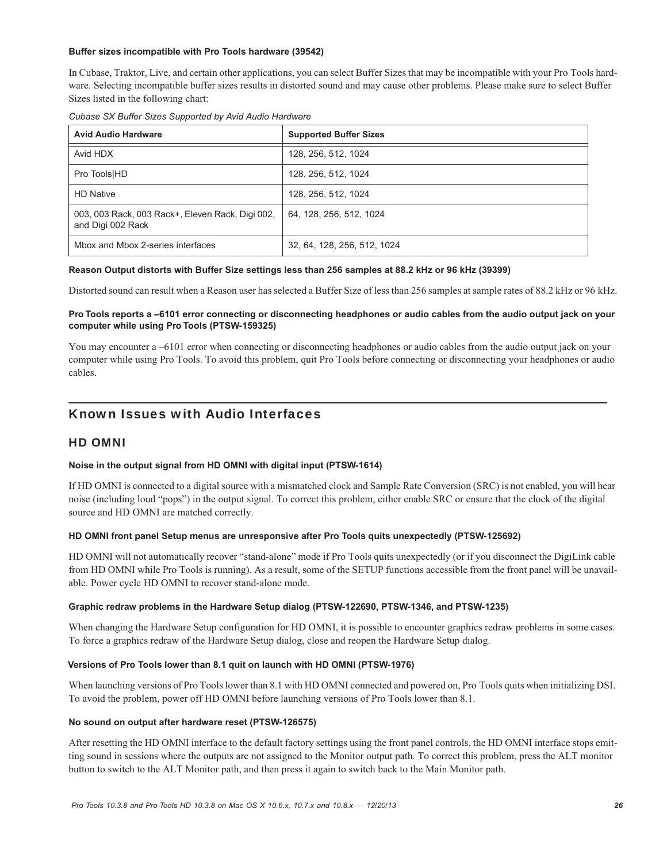### **Buffer sizes incompatible with Pro Tools hardware (39542)**

In Cubase, Traktor, Live, and certain other applications, you can select Buffer Sizes that may be incompatible with your Pro Tools hardware. Selecting incompatible buffer sizes results in distorted sound and may cause other problems. Please make sure to select Buffer Sizes listed in the following chart:

|  | Cubase SX Buffer Sizes Supported by Avid Audio Hardware |  |  |
|--|---------------------------------------------------------|--|--|

| <b>Avid Audio Hardware</b>                                            | <b>Supported Buffer Sizes</b> |  |  |
|-----------------------------------------------------------------------|-------------------------------|--|--|
| Avid HDX                                                              | 128, 256, 512, 1024           |  |  |
| Pro Tools HD                                                          | 128, 256, 512, 1024           |  |  |
| <b>HD Native</b>                                                      | 128, 256, 512, 1024           |  |  |
| 003, 003 Rack, 003 Rack+, Eleven Rack, Digi 002,<br>and Digi 002 Rack | 64, 128, 256, 512, 1024       |  |  |
| Mbox and Mbox 2-series interfaces                                     | 32, 64, 128, 256, 512, 1024   |  |  |

#### **Reason Output distorts with Buffer Size settings less than 256 samples at 88.2 kHz or 96 kHz (39399)**

Distorted sound can result when a Reason user has selected a Buffer Size of less than 256 samples at sample rates of 88.2 kHz or 96 kHz.

# **Pro Tools reports a –6101 error connecting or disconnecting headphones or audio cables from the audio output jack on your computer while using Pro Tools (PTSW-159325)**

You may encounter a –6101 error when connecting or disconnecting headphones or audio cables from the audio output jack on your computer while using Pro Tools. To avoid this problem, quit Pro Tools before connecting or disconnecting your headphones or audio cables.

# Known Issues with Audio Interfaces

# HD OMNI

# **Noise in the output signal from HD OMNI with digital input (PTSW-1614)**

If HD OMNI is connected to a digital source with a mismatched clock and Sample Rate Conversion (SRC) is not enabled, you will hear noise (including loud "pops") in the output signal. To correct this problem, either enable SRC or ensure that the clock of the digital source and HD OMNI are matched correctly.

# **HD OMNI front panel Setup menus are unresponsive after Pro Tools quits unexpectedly (PTSW-125692)**

HD OMNI will not automatically recover "stand-alone" mode if Pro Tools quits unexpectedly (or if you disconnect the DigiLink cable from HD OMNI while Pro Tools is running). As a result, some of the SETUP functions accessible from the front panel will be unavailable. Power cycle HD OMNI to recover stand-alone mode.

# **Graphic redraw problems in the Hardware Setup dialog (PTSW-122690, PTSW-1346, and PTSW-1235)**

When changing the Hardware Setup configuration for HD OMNI, it is possible to encounter graphics redraw problems in some cases. To force a graphics redraw of the Hardware Setup dialog, close and reopen the Hardware Setup dialog.

#### **Versions of Pro Tools lower than 8.1 quit on launch with HD OMNI (PTSW-1976)**

When launching versions of Pro Tools lower than 8.1 with HD OMNI connected and powered on, Pro Tools quits when initializing DSI. To avoid the problem, power off HD OMNI before launching versions of Pro Tools lower than 8.1.

#### **No sound on output after hardware reset (PTSW-126575)**

After resetting the HD OMNI interface to the default factory settings using the front panel controls, the HD OMNI interface stops emitting sound in sessions where the outputs are not assigned to the Monitor output path. To correct this problem, press the ALT monitor button to switch to the ALT Monitor path, and then press it again to switch back to the Main Monitor path.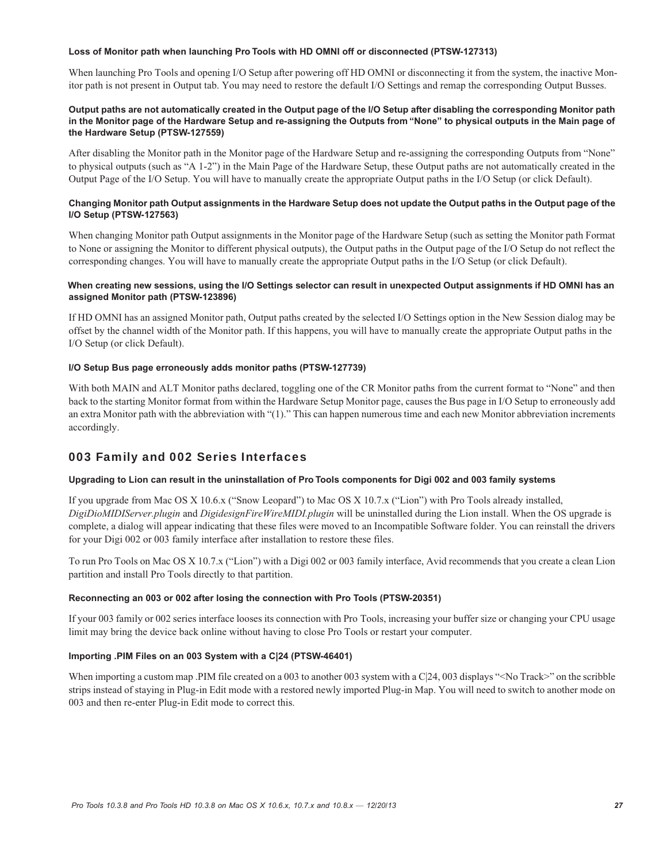#### **Loss of Monitor path when launching Pro Tools with HD OMNI off or disconnected (PTSW-127313)**

When launching Pro Tools and opening I/O Setup after powering off HD OMNI or disconnecting it from the system, the inactive Monitor path is not present in Output tab. You may need to restore the default I/O Settings and remap the corresponding Output Busses.

# **Output paths are not automatically created in the Output page of the I/O Setup after disabling the corresponding Monitor path in the Monitor page of the Hardware Setup and re-assigning the Outputs from "None" to physical outputs in the Main page of the Hardware Setup (PTSW-127559)**

After disabling the Monitor path in the Monitor page of the Hardware Setup and re-assigning the corresponding Outputs from "None" to physical outputs (such as "A 1-2") in the Main Page of the Hardware Setup, these Output paths are not automatically created in the Output Page of the I/O Setup. You will have to manually create the appropriate Output paths in the I/O Setup (or click Default).

# **Changing Monitor path Output assignments in the Hardware Setup does not update the Output paths in the Output page of the I/O Setup (PTSW-127563)**

When changing Monitor path Output assignments in the Monitor page of the Hardware Setup (such as setting the Monitor path Format to None or assigning the Monitor to different physical outputs), the Output paths in the Output page of the I/O Setup do not reflect the corresponding changes. You will have to manually create the appropriate Output paths in the I/O Setup (or click Default).

# **When creating new sessions, using the I/O Settings selector can result in unexpected Output assignments if HD OMNI has an assigned Monitor path (PTSW-123896)**

If HD OMNI has an assigned Monitor path, Output paths created by the selected I/O Settings option in the New Session dialog may be offset by the channel width of the Monitor path. If this happens, you will have to manually create the appropriate Output paths in the I/O Setup (or click Default).

# **I/O Setup Bus page erroneously adds monitor paths (PTSW-127739)**

With both MAIN and ALT Monitor paths declared, toggling one of the CR Monitor paths from the current format to "None" and then back to the starting Monitor format from within the Hardware Setup Monitor page, causes the Bus page in I/O Setup to erroneously add an extra Monitor path with the abbreviation with "(1)." This can happen numerous time and each new Monitor abbreviation increments accordingly.

# 003 Family and 002 Series Interfaces

# **Upgrading to Lion can result in the uninstallation of Pro Tools components for Digi 002 and 003 family systems**

If you upgrade from Mac OS X 10.6.x ("Snow Leopard") to Mac OS X 10.7.x ("Lion") with Pro Tools already installed, *DigiDioMIDIServer.plugin* and *DigidesignFireWireMIDI.plugin* will be uninstalled during the Lion install. When the OS upgrade is complete, a dialog will appear indicating that these files were moved to an Incompatible Software folder. You can reinstall the drivers for your Digi 002 or 003 family interface after installation to restore these files.

To run Pro Tools on Mac OS X 10.7.x ("Lion") with a Digi 002 or 003 family interface, Avid recommends that you create a clean Lion partition and install Pro Tools directly to that partition.

# **Reconnecting an 003 or 002 after losing the connection with Pro Tools (PTSW-20351)**

If your 003 family or 002 series interface looses its connection with Pro Tools, increasing your buffer size or changing your CPU usage limit may bring the device back online without having to close Pro Tools or restart your computer.

# **Importing .PIM Files on an 003 System with a C|24 (PTSW-46401)**

When importing a custom map .PIM file created on a 003 to another 003 system with a C|24, 003 displays "<No Track>" on the scribble strips instead of staying in Plug-in Edit mode with a restored newly imported Plug-in Map. You will need to switch to another mode on 003 and then re-enter Plug-in Edit mode to correct this.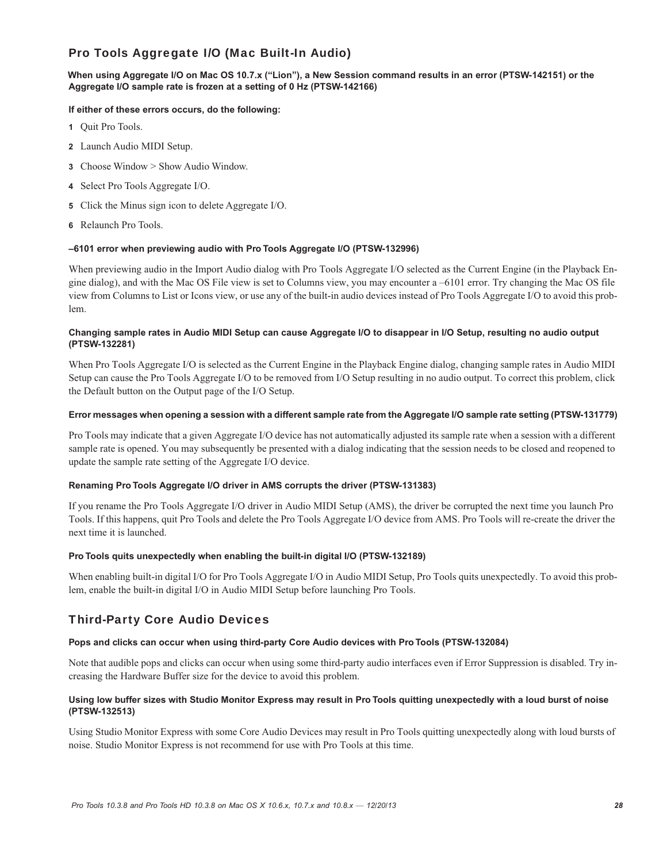# Pro Tools Aggregate I/O (Mac Built-In Audio)

# **When using Aggregate I/O on Mac OS 10.7.x ("Lion"), a New Session command results in an error (PTSW-142151) or the Aggregate I/O sample rate is frozen at a setting of 0 Hz (PTSW-142166)**

# **If either of these errors occurs, do the following:**

- **1** Quit Pro Tools.
- **2** Launch Audio MIDI Setup.
- **3** Choose Window > Show Audio Window.
- **4** Select Pro Tools Aggregate I/O.
- **5** Click the Minus sign icon to delete Aggregate I/O.
- **6** Relaunch Pro Tools.

# **–6101 error when previewing audio with Pro Tools Aggregate I/O (PTSW-132996)**

When previewing audio in the Import Audio dialog with Pro Tools Aggregate I/O selected as the Current Engine (in the Playback Engine dialog), and with the Mac OS File view is set to Columns view, you may encounter a –6101 error. Try changing the Mac OS file view from Columns to List or Icons view, or use any of the built-in audio devices instead of Pro Tools Aggregate I/O to avoid this problem.

### **Changing sample rates in Audio MIDI Setup can cause Aggregate I/O to disappear in I/O Setup, resulting no audio output (PTSW-132281)**

When Pro Tools Aggregate I/O is selected as the Current Engine in the Playback Engine dialog, changing sample rates in Audio MIDI Setup can cause the Pro Tools Aggregate I/O to be removed from I/O Setup resulting in no audio output. To correct this problem, click the Default button on the Output page of the I/O Setup.

#### **Error messages when opening a session with a different sample rate from the Aggregate I/O sample rate setting (PTSW-131779)**

Pro Tools may indicate that a given Aggregate I/O device has not automatically adjusted its sample rate when a session with a different sample rate is opened. You may subsequently be presented with a dialog indicating that the session needs to be closed and reopened to update the sample rate setting of the Aggregate I/O device.

# **Renaming Pro Tools Aggregate I/O driver in AMS corrupts the driver (PTSW-131383)**

If you rename the Pro Tools Aggregate I/O driver in Audio MIDI Setup (AMS), the driver be corrupted the next time you launch Pro Tools. If this happens, quit Pro Tools and delete the Pro Tools Aggregate I/O device from AMS. Pro Tools will re-create the driver the next time it is launched.

# **Pro Tools quits unexpectedly when enabling the built-in digital I/O (PTSW-132189)**

When enabling built-in digital I/O for Pro Tools Aggregate I/O in Audio MIDI Setup, Pro Tools quits unexpectedly. To avoid this problem, enable the built-in digital I/O in Audio MIDI Setup before launching Pro Tools.

# Third-Party Core Audio Devices

# **Pops and clicks can occur when using third-party Core Audio devices with Pro Tools (PTSW-132084)**

Note that audible pops and clicks can occur when using some third-party audio interfaces even if Error Suppression is disabled. Try increasing the Hardware Buffer size for the device to avoid this problem.

# **Using low buffer sizes with Studio Monitor Express may result in Pro Tools quitting unexpectedly with a loud burst of noise (PTSW-132513)**

Using Studio Monitor Express with some Core Audio Devices may result in Pro Tools quitting unexpectedly along with loud bursts of noise. Studio Monitor Express is not recommend for use with Pro Tools at this time.